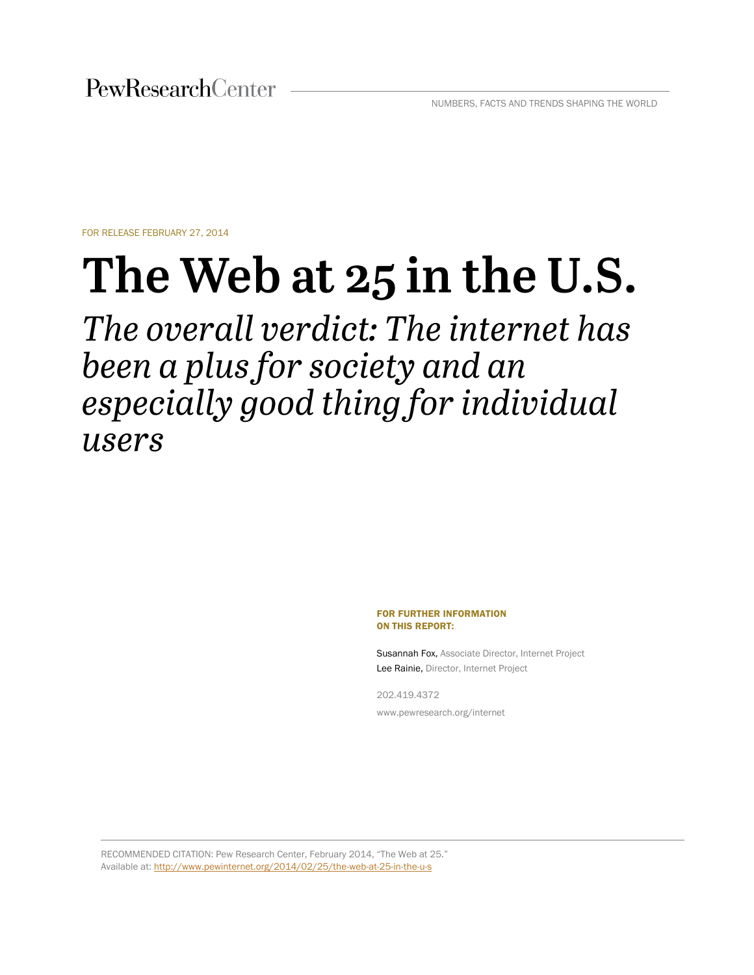FOR RELEASE FEBRUARY 27, 2014

# The Web at 25 in the U.S.

The overall verdict: The internet has been a plus for society and an especially good thing for individual users

> FOR FURTHER INFORMATION ON THIS REPORT:

Susannah Fox, Associate Director, Internet Project Lee Rainie, Director, Internet Project

202.419.4372 www.pewresearch.org/internet

RECOMMENDED CITATION: Pew Research Center, February 2014, "The Web at 25." Available at:<http://www.pewinternet.org/2014/02/25/the-web-at-25-in-the-u-s>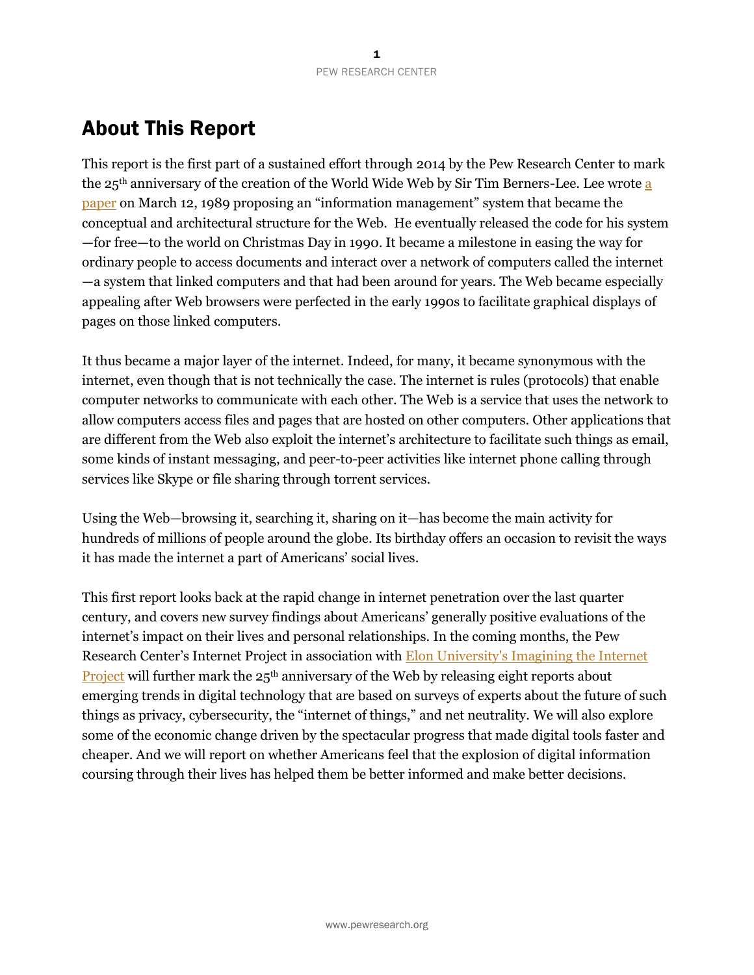# <span id="page-1-0"></span>About This Report

This report is the first part of a sustained effort through 2014 by the Pew Research Center to mark the 25th anniversary of the creation of the World Wide Web by Sir Tim Berners-Lee. Lee wrote [a](http://www.w3.org/History/1989/proposal.html)  [paper](http://www.w3.org/History/1989/proposal.html) on March 12, 1989 proposing an "information management" system that became the conceptual and architectural structure for the Web. He eventually released the code for his system —for free—to the world on Christmas Day in 1990. It became a milestone in easing the way for ordinary people to access documents and interact over a network of computers called the internet —a system that linked computers and that had been around for years. The Web became especially appealing after Web browsers were perfected in the early 1990s to facilitate graphical displays of pages on those linked computers.

It thus became a major layer of the internet. Indeed, for many, it became synonymous with the internet, even though that is not technically the case. The internet is rules (protocols) that enable computer networks to communicate with each other. The Web is a service that uses the network to allow computers access files and pages that are hosted on other computers. Other applications that are different from the Web also exploit the internet's architecture to facilitate such things as email, some kinds of instant messaging, and peer-to-peer activities like internet phone calling through services like Skype or file sharing through torrent services.

Using the Web—browsing it, searching it, sharing on it—has become the main activity for hundreds of millions of people around the globe. Its birthday offers an occasion to revisit the ways it has made the internet a part of Americans' social lives.

This first report looks back at the rapid change in internet penetration over the last quarter century, and covers new survey findings about Americans' generally positive evaluations of the internet's impact on their lives and personal relationships. In the coming months, the Pew Research Center's Internet Project in association with [Elon University's Imagining the Internet](http://www.elon.edu/e-web/imagining/)  **[Project](http://www.elon.edu/e-web/imagining/)** will further mark the  $25<sup>th</sup>$  anniversary of the Web by releasing eight reports about emerging trends in digital technology that are based on surveys of experts about the future of such things as privacy, cybersecurity, the "internet of things," and net neutrality. We will also explore some of the economic change driven by the spectacular progress that made digital tools faster and cheaper. And we will report on whether Americans feel that the explosion of digital information coursing through their lives has helped them be better informed and make better decisions.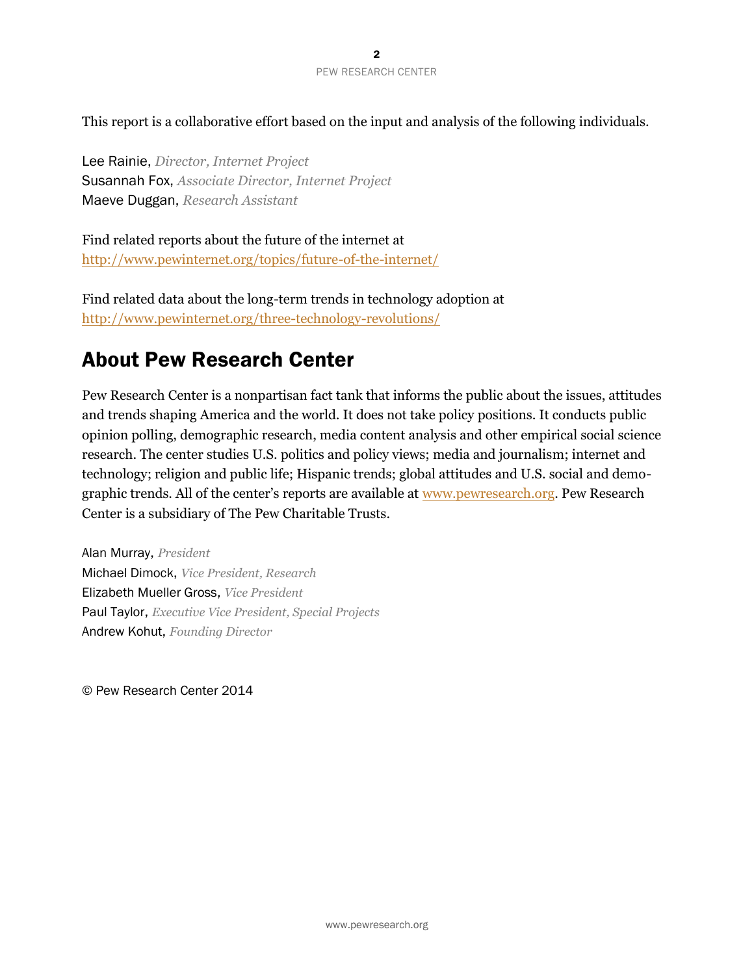This report is a collaborative effort based on the input and analysis of the following individuals.

Lee Rainie, *Director, Internet Project*  Susannah Fox, *Associate Director, Internet Project* Maeve Duggan, *Research Assistant*

Find related reports about the future of the internet at <http://www.pewinternet.org/topics/future-of-the-internet/>

Find related data about the long-term trends in technology adoption at <http://www.pewinternet.org/three-technology-revolutions/>

# <span id="page-2-0"></span>About Pew Research Center

Pew Research Center is a nonpartisan fact tank that informs the public about the issues, attitudes and trends shaping America and the world. It does not take policy positions. It conducts public opinion polling, demographic research, media content analysis and other empirical social science research. The center studies U.S. politics and policy views; media and journalism; internet and technology; religion and public life; Hispanic trends; global attitudes and U.S. social and demographic trends. All of the center's reports are available at [www.pewresearch.org.](http://www.pewresearch.org/) Pew Research Center is a subsidiary of The Pew Charitable Trusts.

Alan Murray, *President* Michael Dimock, *Vice President, Research*  Elizabeth Mueller Gross, *Vice President* Paul Taylor, *Executive Vice President, Special Projects* Andrew Kohut, *Founding Director*

© Pew Research Center 2014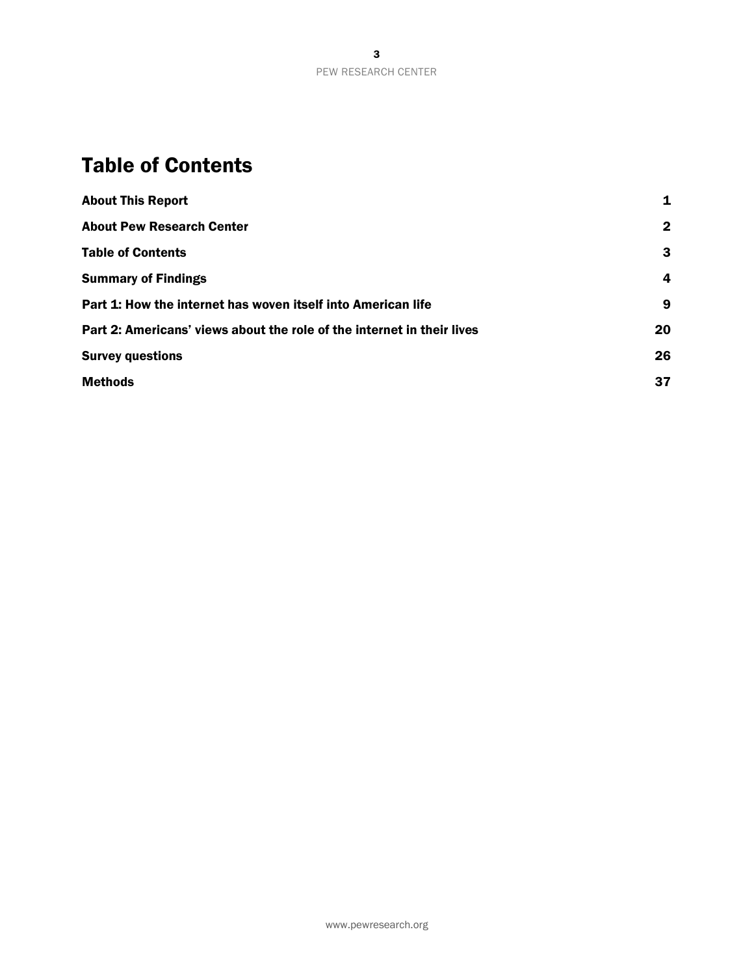# <span id="page-3-0"></span>Table of Contents

| <b>About This Report</b>                                               | 1            |
|------------------------------------------------------------------------|--------------|
| <b>About Pew Research Center</b>                                       | $\mathbf{2}$ |
| <b>Table of Contents</b>                                               | 3            |
| <b>Summary of Findings</b>                                             | 4            |
| Part 1: How the internet has woven itself into American life           | 9            |
| Part 2: Americans' views about the role of the internet in their lives | 20           |
| <b>Survey questions</b>                                                | 26           |
| <b>Methods</b>                                                         | 37           |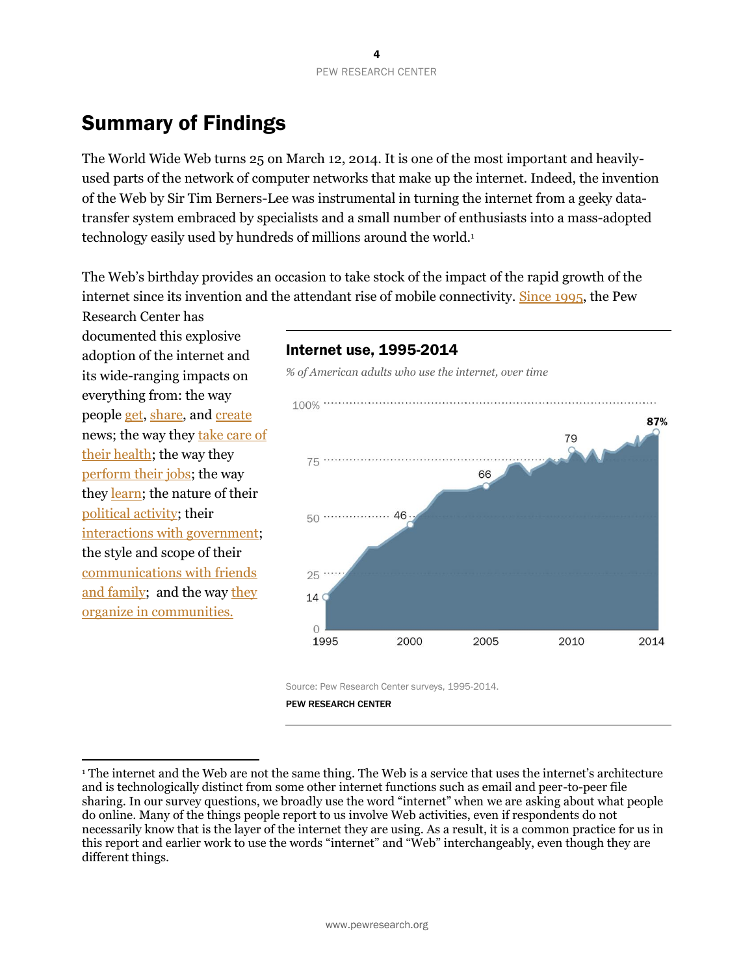# <span id="page-4-0"></span>Summary of Findings

The World Wide Web turns 25 on March 12, 2014. It is one of the most important and heavilyused parts of the network of computer networks that make up the internet. Indeed, the invention of the Web by Sir Tim Berners-Lee was instrumental in turning the internet from a geeky datatransfer system embraced by specialists and a small number of enthusiasts into a mass-adopted technology easily used by hundreds of millions around the world.<sup>1</sup>

The Web's birthday provides an occasion to take stock of the impact of the rapid growth of the internet since its invention and the attendant rise of mobile connectivity[. Since 1995,](http://www.people-press.org/1995/10/16/americans-going-online-explosive-growth-uncertain-destinations/) the Pew

Research Center has documented this explosive adoption of the internet and its wide-ranging impacts on everything from: the way people [get,](http://www.people-press.org/topics/news-media-trends/) [share,](http://www.journalism.org/topics/news-media-trends/) and [create](http://www.pewinternet.org/topics/news-audience-trends-and-attitudes/) news; the way they [take care of](http://www.pewinternet.org/topics/health/)  [their health;](http://www.pewinternet.org/topics/health/) the way the[y](http://www.pewinternet.org/topics/work-and-employment/) [perform their jobs;](http://www.pewinternet.org/topics/work-and-employment/) the way they [learn;](http://www.pewinternet.org/topics/education/) the nature of their [political activity;](http://www.pewinternet.org/topics/politics-online/) their [interactions with government;](http://www.pewinternet.org/topics/government-online/) the style and scope of their [communications with friends](http://www.pewinternet.org/topics/family-and-relationships/)  [and family;](http://www.pewinternet.org/topics/family-and-relationships/) and the way [they](http://www.pewinternet.org/topics/community-media/)  [organize in communities.](http://www.pewinternet.org/topics/community-media/)

 $\overline{a}$ 

### Internet use, 1995-2014

*% of American adults who use the internet, over time*



Source: Pew Research Center surveys, 1995-2014.

<sup>1</sup> The internet and the Web are not the same thing. The Web is a service that uses the internet's architecture and is technologically distinct from some other internet functions such as email and peer-to-peer file sharing. In our survey questions, we broadly use the word "internet" when we are asking about what people do online. Many of the things people report to us involve Web activities, even if respondents do not necessarily know that is the layer of the internet they are using. As a result, it is a common practice for us in this report and earlier work to use the words "internet" and "Web" interchangeably, even though they are different things.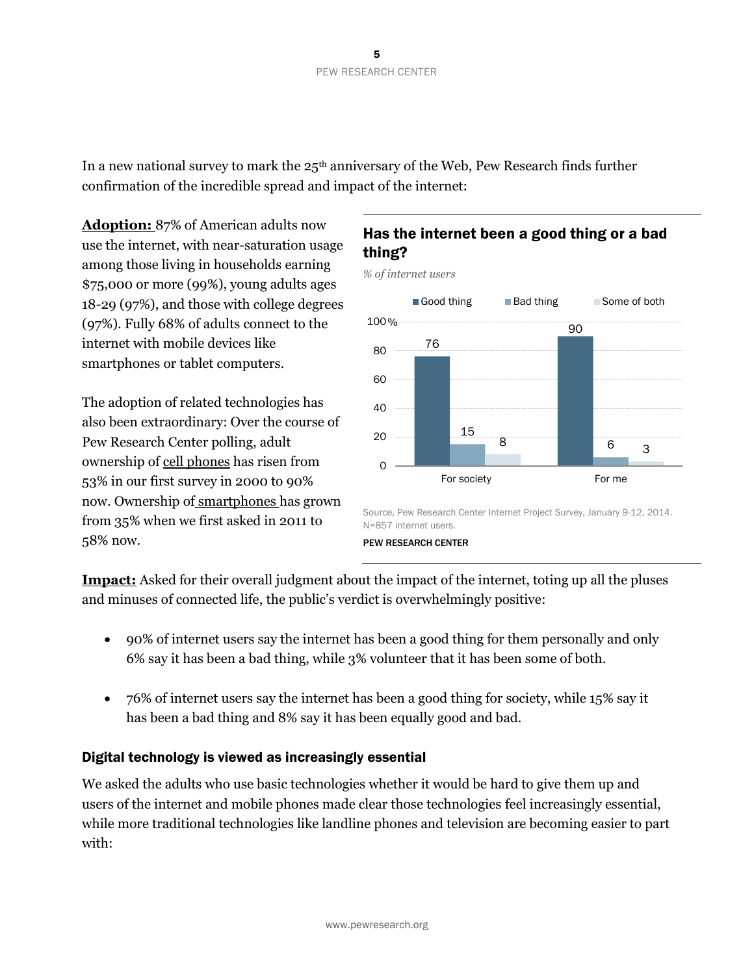In a new national survey to mark the  $25<sup>th</sup>$  anniversary of the Web, Pew Research finds further confirmation of the incredible spread and impact of the internet:

**Adoption:** 87% of American adults now use the internet, with near-saturation usage among those living in households earning \$75,000 or more (99%), young adults ages 18-29 (97%), and those with college degrees (97%). Fully 68% of adults connect to the internet with mobile devices like smartphones or tablet computers.

The adoption of related technologies has also been extraordinary: Over the course of Pew Research Center polling, adult ownership of cell phones has risen from 53% in our first survey in 2000 to 90% now. Ownership of smartphones has grown from 35% when we first asked in 2011 to 58% now.

### Has the internet been a good thing or a bad thing?



Source, Pew Research Center Internet Project Survey, January 9-12, 2014. N=857 internet users.

#### PEW RESEARCH CENTER

**Impact:** Asked for their overall judgment about the impact of the internet, toting up all the pluses and minuses of connected life, the public's verdict is overwhelmingly positive:

- 90% of internet users say the internet has been a good thing for them personally and only 6% say it has been a bad thing, while 3% volunteer that it has been some of both.
- 76% of internet users say the internet has been a good thing for society, while 15% say it has been a bad thing and 8% say it has been equally good and bad.

### Digital technology is viewed as increasingly essential

We asked the adults who use basic technologies whether it would be hard to give them up and users of the internet and mobile phones made clear those technologies feel increasingly essential, while more traditional technologies like landline phones and television are becoming easier to part with: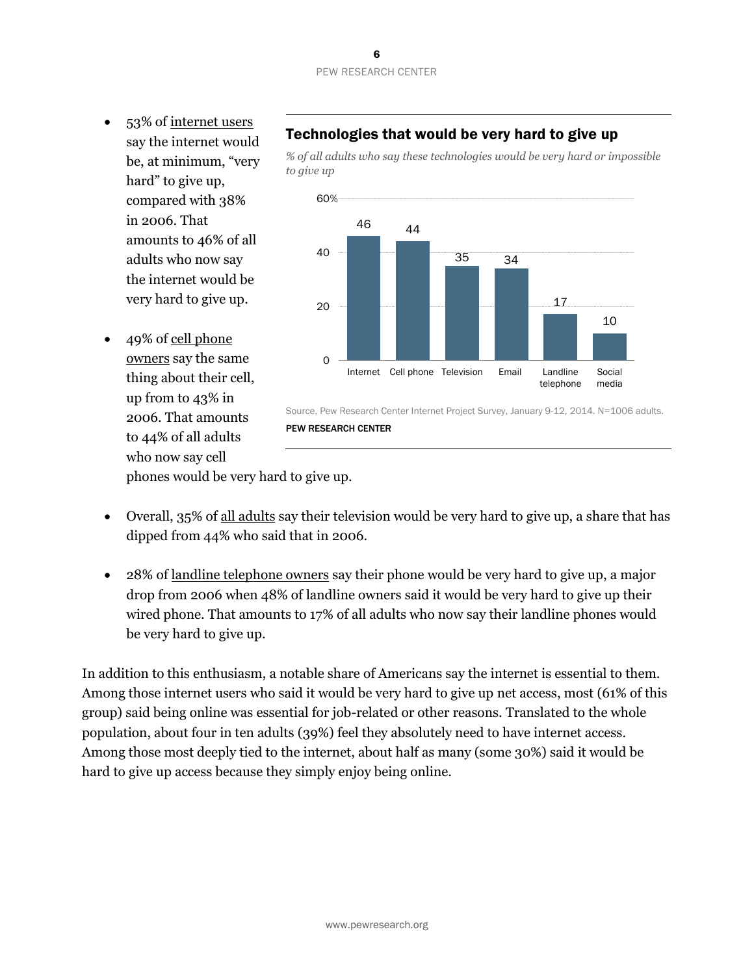6 PEW RESEARCH CENTER

- 53% of internet users say the internet would be, at minimum, "very hard" to give up, compared with 38% in 2006. That amounts to 46% of all adults who now say the internet would be very hard to give up.
- 49% of cell phone owners say the same thing about their cell, up from to 43% in 2006. That amounts to 44% of all adults who now say cell

# Technologies that would be very hard to give up

*% of all adults who say these technologies would be very hard or impossible to give up* 



phones would be very hard to give up.

 Overall, 35% of all adults say their television would be very hard to give up, a share that has dipped from 44% who said that in 2006.

PEW RESEARCH CENTER

 28% of landline telephone owners say their phone would be very hard to give up, a major drop from 2006 when 48% of landline owners said it would be very hard to give up their wired phone. That amounts to 17% of all adults who now say their landline phones would be very hard to give up.

In addition to this enthusiasm, a notable share of Americans say the internet is essential to them. Among those internet users who said it would be very hard to give up net access, most (61% of this group) said being online was essential for job-related or other reasons. Translated to the whole population, about four in ten adults (39%) feel they absolutely need to have internet access. Among those most deeply tied to the internet, about half as many (some 30%) said it would be hard to give up access because they simply enjoy being online.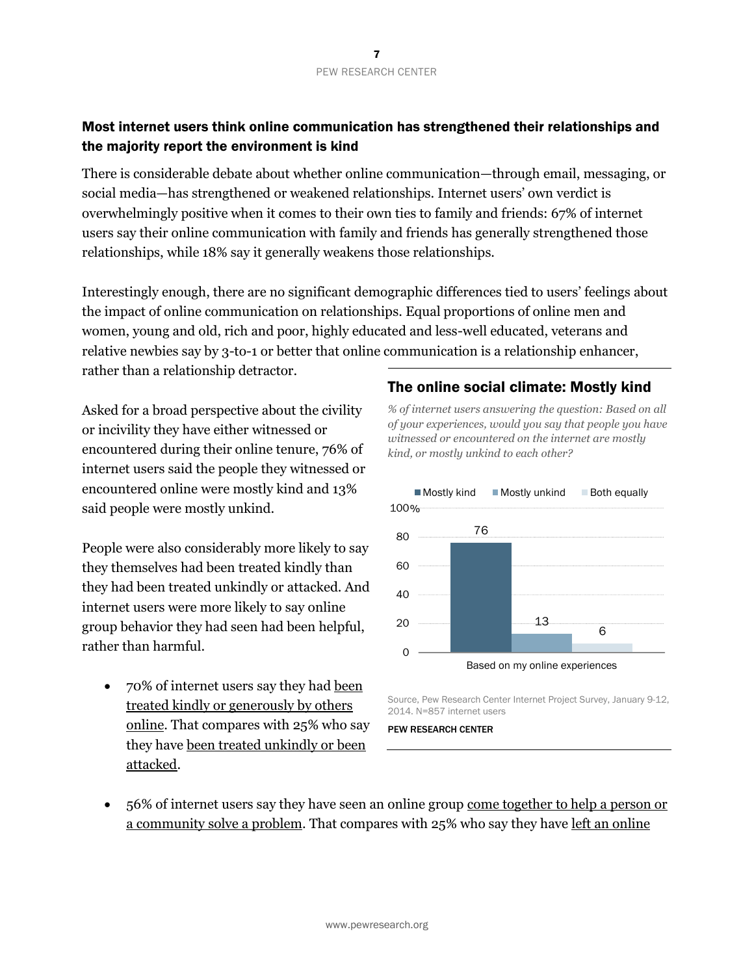### Most internet users think online communication has strengthened their relationships and the majority report the environment is kind

There is considerable debate about whether online communication—through email, messaging, or social media—has strengthened or weakened relationships. Internet users' own verdict is overwhelmingly positive when it comes to their own ties to family and friends: 67% of internet users say their online communication with family and friends has generally strengthened those relationships, while 18% say it generally weakens those relationships.

Interestingly enough, there are no significant demographic differences tied to users' feelings about the impact of online communication on relationships. Equal proportions of online men and women, young and old, rich and poor, highly educated and less-well educated, veterans and relative newbies say by 3-to-1 or better that online communication is a relationship enhancer, rather than a relationship detractor.

Asked for a broad perspective about the civility or incivility they have either witnessed or encountered during their online tenure, 76% of internet users said the people they witnessed or encountered online were mostly kind and 13% said people were mostly unkind.

People were also considerably more likely to say they themselves had been treated kindly than they had been treated unkindly or attacked. And internet users were more likely to say online group behavior they had seen had been helpful, rather than harmful.

 70% of internet users say they had been treated kindly or generously by others online. That compares with 25% who say they have been treated unkindly or been attacked.

### The online social climate: Mostly kind

*% of internet users answering the question: Based on all of your experiences, would you say that people you have witnessed or encountered on the internet are mostly kind, or mostly unkind to each other?* 



Source, Pew Research Center Internet Project Survey, January 9-12, 2014. N=857 internet users

PEW RESEARCH CENTER

• 56% of internet users say they have seen an online group come together to help a person or a community solve a problem. That compares with 25% who say they have left an online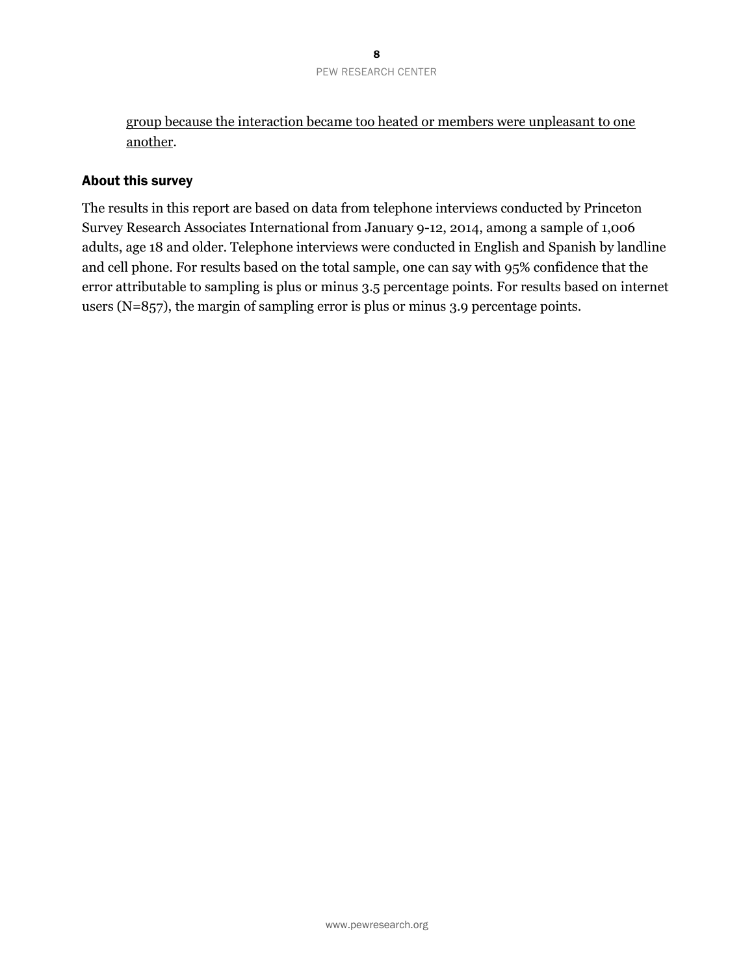group because the interaction became too heated or members were unpleasant to one another.

### About this survey

The results in this report are based on data from telephone interviews conducted by Princeton Survey Research Associates International from January 9-12, 2014, among a sample of 1,006 adults, age 18 and older. Telephone interviews were conducted in English and Spanish by landline and cell phone. For results based on the total sample, one can say with 95% confidence that the error attributable to sampling is plus or minus 3.5 percentage points. For results based on internet users (N=857), the margin of sampling error is plus or minus 3.9 percentage points.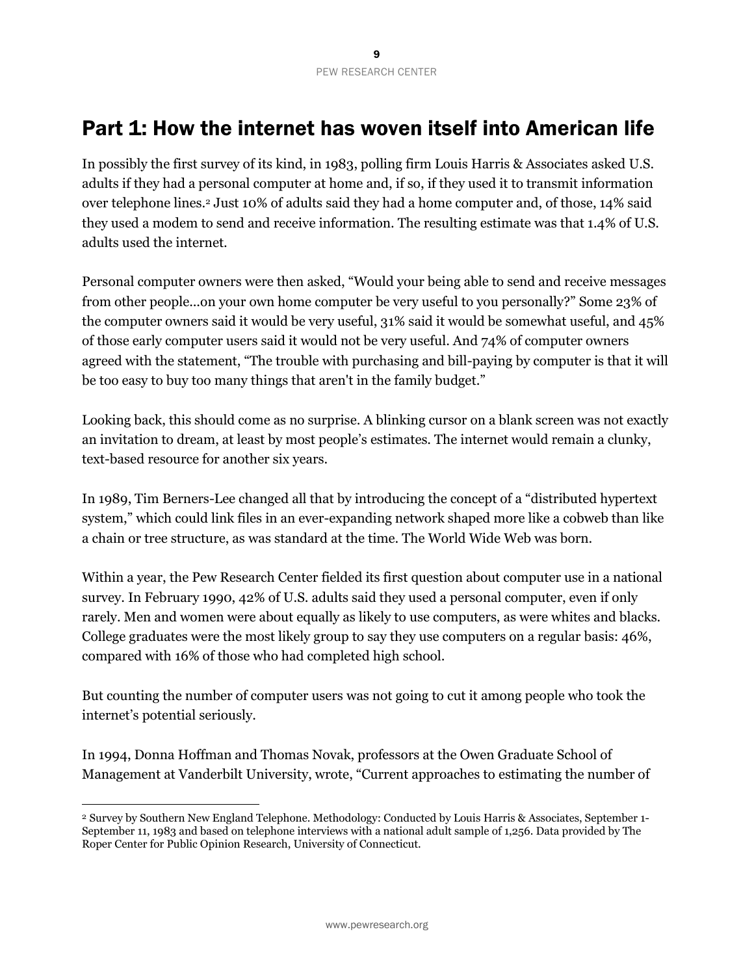# <span id="page-9-0"></span>Part 1: How the internet has woven itself into American life

In possibly the first survey of its kind, in 1983, polling firm Louis Harris & Associates asked U.S. adults if they had a personal computer at home and, if so, if they used it to transmit information over telephone lines.<sup>2</sup> Just 10% of adults said they had a home computer and, of those, 14% said they used a modem to send and receive information. The resulting estimate was that 1.4% of U.S. adults used the internet.

Personal computer owners were then asked, "Would your being able to send and receive messages from other people...on your own home computer be very useful to you personally?" Some 23% of the computer owners said it would be very useful, 31% said it would be somewhat useful, and 45% of those early computer users said it would not be very useful. And 74% of computer owners agreed with the statement, "The trouble with purchasing and bill-paying by computer is that it will be too easy to buy too many things that aren't in the family budget."

Looking back, this should come as no surprise. A blinking cursor on a blank screen was not exactly an invitation to dream, at least by most people's estimates. The internet would remain a clunky, text-based resource for another six years.

In 1989, Tim Berners-Lee changed all that by introducing the concept of a "distributed hypertext system," which could link files in an ever-expanding network shaped more like a cobweb than like a chain or tree structure, as was standard at the time. The World Wide Web was born.

Within a year, the Pew Research Center fielded its first question about computer use in a national survey. In February 1990, 42% of U.S. adults said they used a personal computer, even if only rarely. Men and women were about equally as likely to use computers, as were whites and blacks. College graduates were the most likely group to say they use computers on a regular basis: 46%, compared with 16% of those who had completed high school.

But counting the number of computer users was not going to cut it among people who took the internet's potential seriously.

In 1994, Donna Hoffman and Thomas Novak, professors at the Owen Graduate School of Management at Vanderbilt University, wrote, "Current approaches to estimating the number of

 $\overline{a}$ 

<sup>2</sup> Survey by Southern New England Telephone. Methodology: Conducted by Louis Harris & Associates, September 1- September 11, 1983 and based on telephone interviews with a national adult sample of 1,256. Data provided by The Roper Center for Public Opinion Research, University of Connecticut.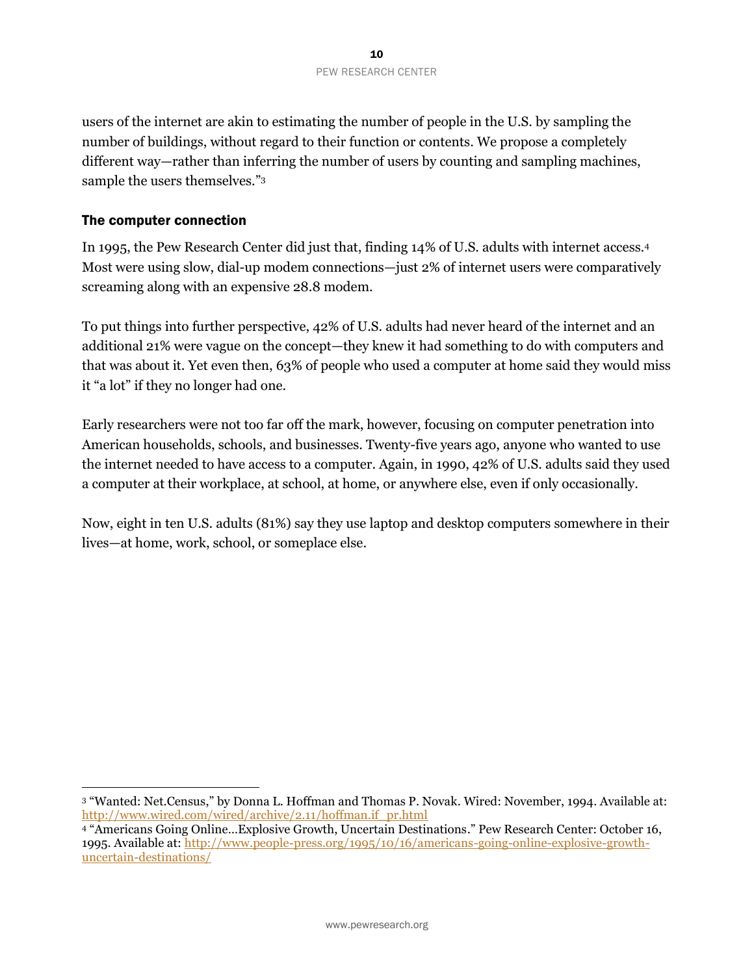users of the internet are akin to estimating the number of people in the U.S. by sampling the number of buildings, without regard to their function or contents. We propose a completely different way—rather than inferring the number of users by counting and sampling machines, sample the users themselves."<sup>3</sup>

### The computer connection

 $\overline{a}$ 

In 1995, the Pew Research Center did just that, finding 14% of U.S. adults with internet access.<sup>4</sup> Most were using slow, dial-up modem connections—just 2% of internet users were comparatively screaming along with an expensive 28.8 modem.

To put things into further perspective, 42% of U.S. adults had never heard of the internet and an additional 21% were vague on the concept—they knew it had something to do with computers and that was about it. Yet even then, 63% of people who used a computer at home said they would miss it "a lot" if they no longer had one.

Early researchers were not too far off the mark, however, focusing on computer penetration into American households, schools, and businesses. Twenty-five years ago, anyone who wanted to use the internet needed to have access to a computer. Again, in 1990, 42% of U.S. adults said they used a computer at their workplace, at school, at home, or anywhere else, even if only occasionally.

Now, eight in ten U.S. adults (81%) say they use laptop and desktop computers somewhere in their lives—at home, work, school, or someplace else.

<sup>3</sup> "Wanted: Net.Census," by Donna L. Hoffman and Thomas P. Novak. Wired: November, 1994. Available at: [http://www.wired.com/wired/archive/2.11/hoffman.if\\_pr.html](http://www.wired.com/wired/archive/2.11/hoffman.if_pr.html)

<sup>4</sup> "Americans Going Online…Explosive Growth, Uncertain Destinations." Pew Research Center: October 16, 1995. Available at: [http://www.people-press.org/1995/10/16/americans-going-online-explosive-growth](http://www.people-press.org/1995/10/16/americans-going-online-explosive-growth-uncertain-destinations/)[uncertain-destinations/](http://www.people-press.org/1995/10/16/americans-going-online-explosive-growth-uncertain-destinations/)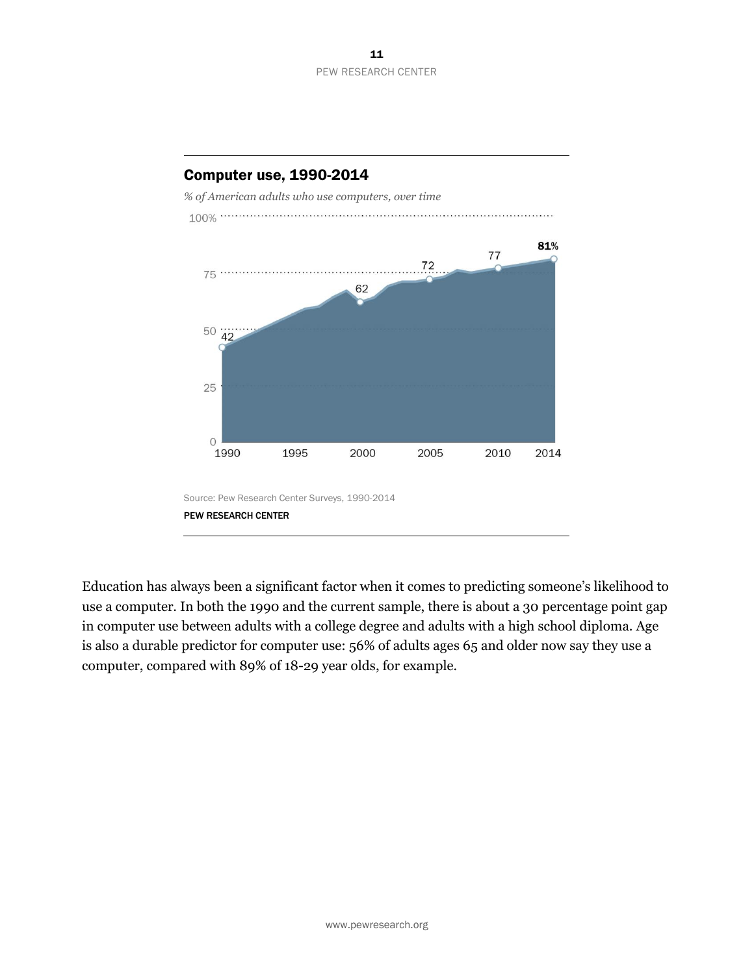

Computer use, 1990-2014

Education has always been a significant factor when it comes to predicting someone's likelihood to use a computer. In both the 1990 and the current sample, there is about a 30 percentage point gap in computer use between adults with a college degree and adults with a high school diploma. Age is also a durable predictor for computer use: 56% of adults ages 65 and older now say they use a computer, compared with 89% of 18-29 year olds, for example.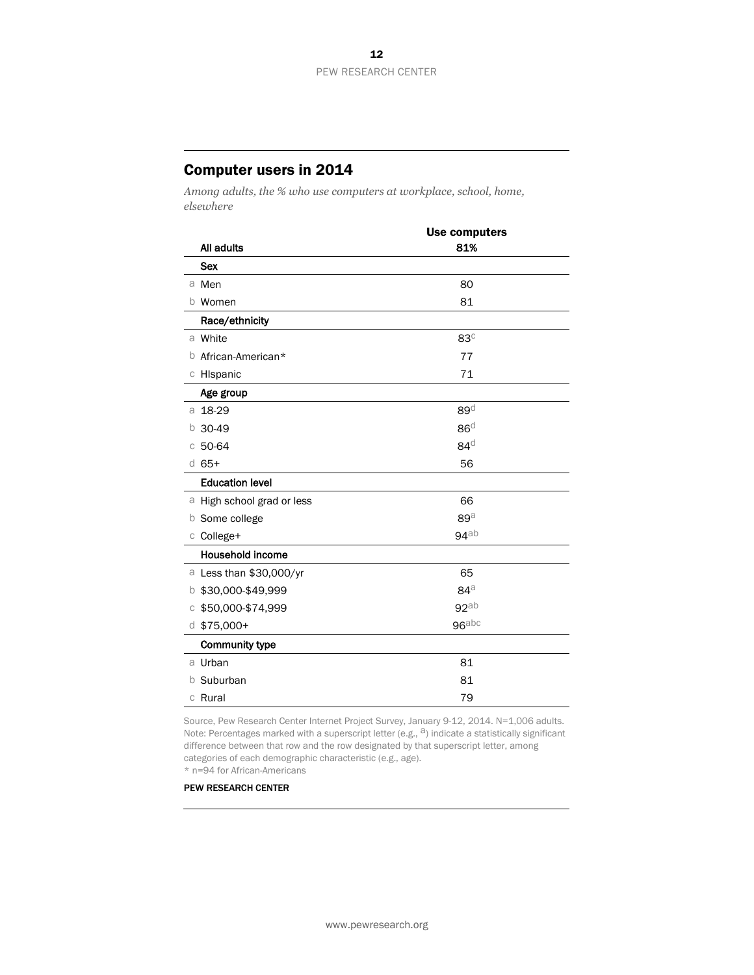### Computer users in 2014

*Among adults, the % who use computers at workplace, school, home, elsewhere*

|   |                            | <b>Use computers</b> |  |
|---|----------------------------|----------------------|--|
|   | All adults                 | 81%                  |  |
|   | <b>Sex</b>                 |                      |  |
|   | a Men                      | 80                   |  |
|   | b Women                    | 81                   |  |
|   | Race/ethnicity             |                      |  |
|   | a White                    | $83^\circ$           |  |
|   | <b>b</b> African-American* | 77                   |  |
|   | c Hispanic                 | 71                   |  |
|   | Age group                  |                      |  |
|   | a 18-29                    | $89^{\circ}$         |  |
| b | 30-49                      | 86 <sup>d</sup>      |  |
| С | 50-64                      | $84^d$               |  |
|   | $d$ 65+                    | 56                   |  |
|   | <b>Education level</b>     |                      |  |
|   | a High school grad or less | 66                   |  |
|   | <b>b</b> Some college      | $89^{\circ}$         |  |
|   | c College+                 | $94$ ab              |  |
|   | <b>Household income</b>    |                      |  |
|   | a Less than \$30,000/yr    | 65                   |  |
| b | \$30,000-\$49,999          | $84^\circ$           |  |
| C | \$50,000-\$74,999          | 92ab                 |  |
|   | $d$ \$75,000+              | $96$ abc             |  |
|   | Community type             |                      |  |
|   | a Urban                    | 81                   |  |
| b | Suburban                   | 81                   |  |
|   | c Rural                    | 79                   |  |

Source, Pew Research Center Internet Project Survey, January 9-12, 2014. N=1,006 adults.<br>Note: Percentages marked with a superscript letter (e.g., <sup>a</sup>) indicate a statistically significant difference between that row and the row designated by that superscript letter, among categories of each demographic characteristic (e.g., age).

\* n=94 for African-Americans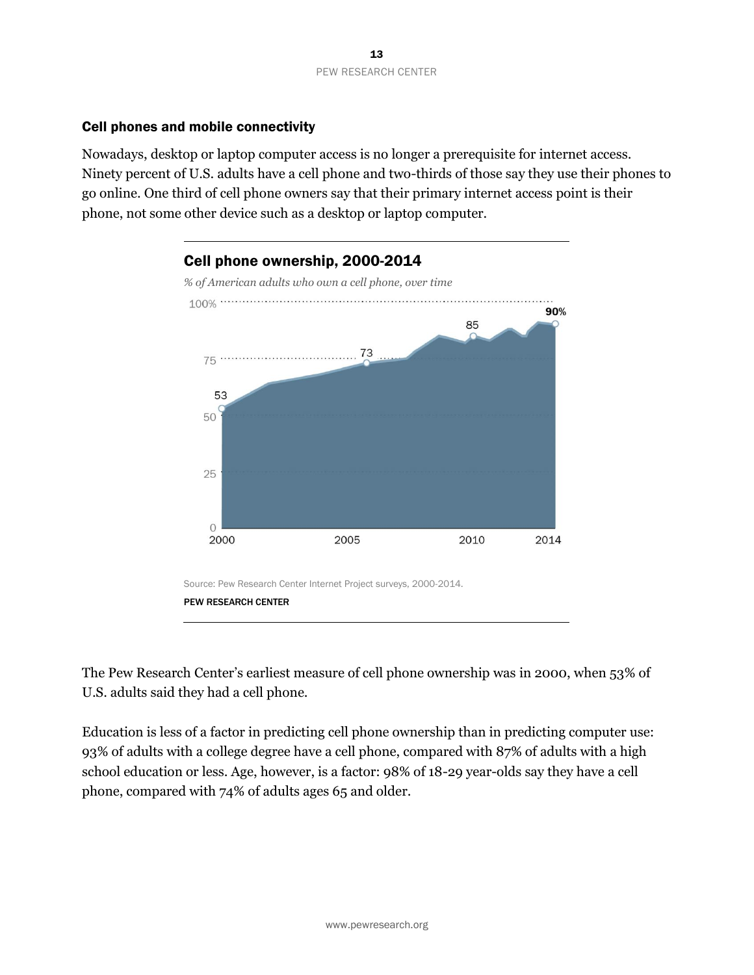### Cell phones and mobile connectivity

Nowadays, desktop or laptop computer access is no longer a prerequisite for internet access. Ninety percent of U.S. adults have a cell phone and two-thirds of those say they use their phones to go online. One third of cell phone owners say that their primary internet access point is their phone, not some other device such as a desktop or laptop computer.



The Pew Research Center's earliest measure of cell phone ownership was in 2000, when 53% of U.S. adults said they had a cell phone.

Education is less of a factor in predicting cell phone ownership than in predicting computer use: 93% of adults with a college degree have a cell phone, compared with 87% of adults with a high school education or less. Age, however, is a factor: 98% of 18-29 year-olds say they have a cell phone, compared with 74% of adults ages 65 and older.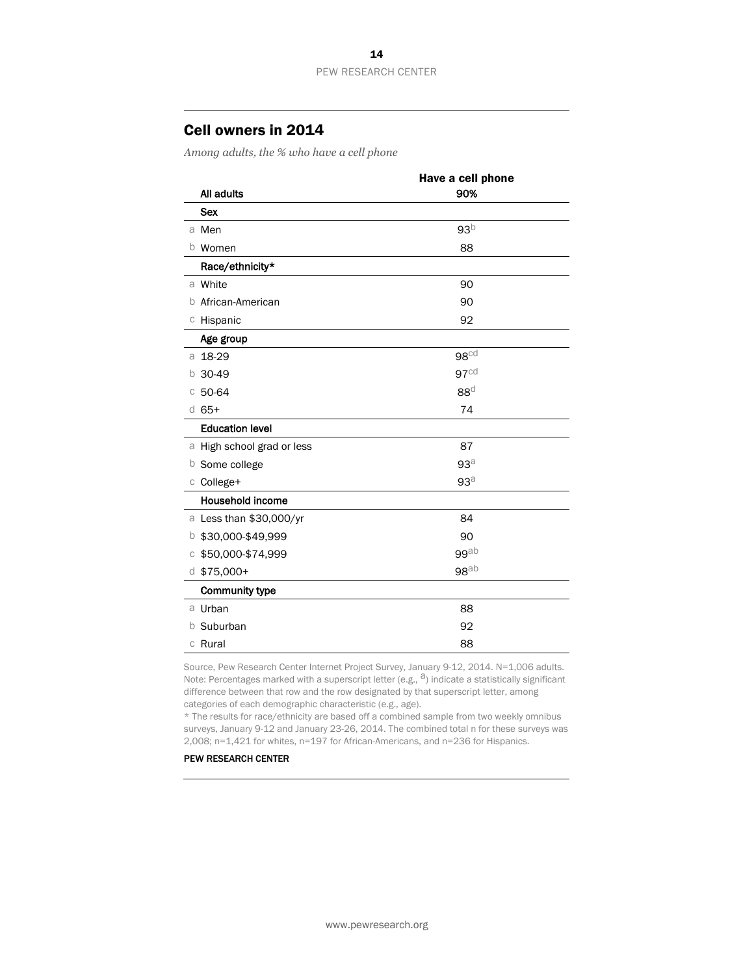### Cell owners in 2014

*Among adults, the % who have a cell phone*

|                            | Have a cell phone |
|----------------------------|-------------------|
| All adults                 | 90%               |
| <b>Sex</b>                 |                   |
| a Men                      | 93 <sup>b</sup>   |
| b Women                    | 88                |
| Race/ethnicity*            |                   |
| a White                    | 90                |
| African-American<br>b      | 90                |
| c Hispanic                 | 92                |
| Age group                  |                   |
| a 18-29                    | 98 <sup>cd</sup>  |
| 30-49<br>b                 | 97 <sup>cd</sup>  |
| 50-64<br>C                 | 88 <sup>d</sup>   |
| $d$ 65+                    | 74                |
| <b>Education level</b>     |                   |
| a High school grad or less | 87                |
| Some college<br>b          | 93a               |
| c College+                 | 93a               |
| <b>Household income</b>    |                   |
| a Less than \$30,000/yr    | 84                |
| \$30,000-\$49,999<br>b     | 90                |
| \$50,000-\$74,999<br>С     | $99$ ab           |
| $d$ \$75,000+              | 98 <sup>ab</sup>  |
| <b>Community type</b>      |                   |
| a Urban                    | 88                |
| Suburban<br>b              | 92                |
| c Rural                    | 88                |

Source, Pew Research Center Internet Project Survey, January 9-12, 2014. N=1,006 adults. Note: Percentages marked with a superscript letter (e.g.,  $^{\text{a}}$ ) indicate a statistically significant difference between that row and the row designated by that superscript letter, among categories of each demographic characteristic (e.g., age).

\* The results for race/ethnicity are based off a combined sample from two weekly omnibus surveys, January 9-12 and January 23-26, 2014. The combined total n for these surveys was 2,008; n=1,421 for whites, n=197 for African-Americans, and n=236 for Hispanics.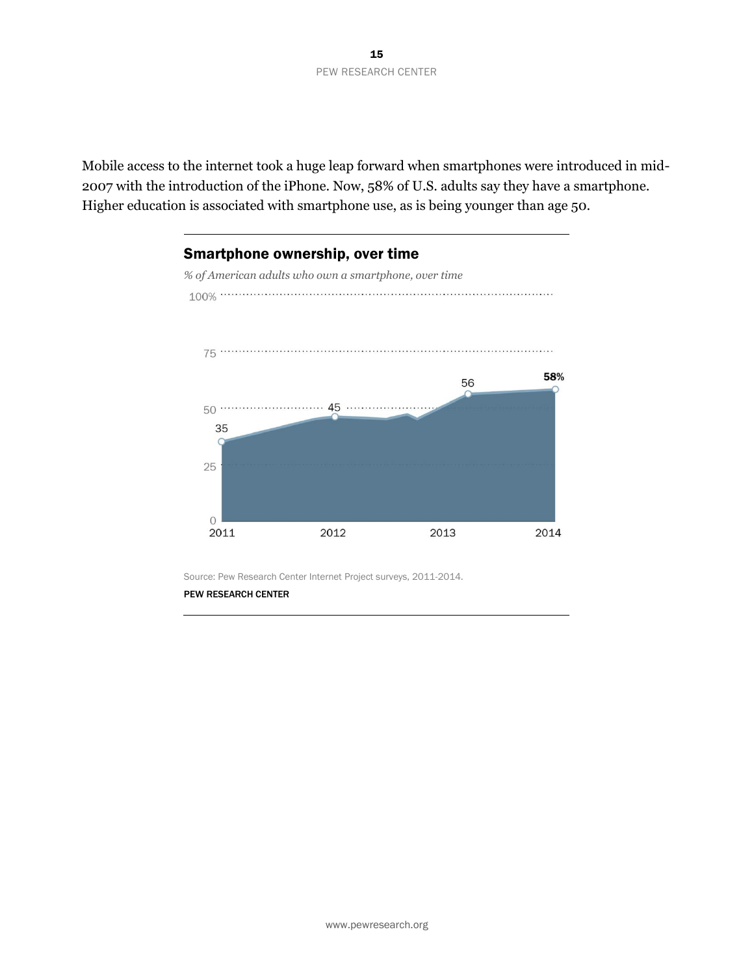Mobile access to the internet took a huge leap forward when smartphones were introduced in mid-2007 with the introduction of the iPhone. Now, 58% of U.S. adults say they have a smartphone. Higher education is associated with smartphone use, as is being younger than age 50.



Source: Pew Research Center Internet Project surveys, 2011-2014.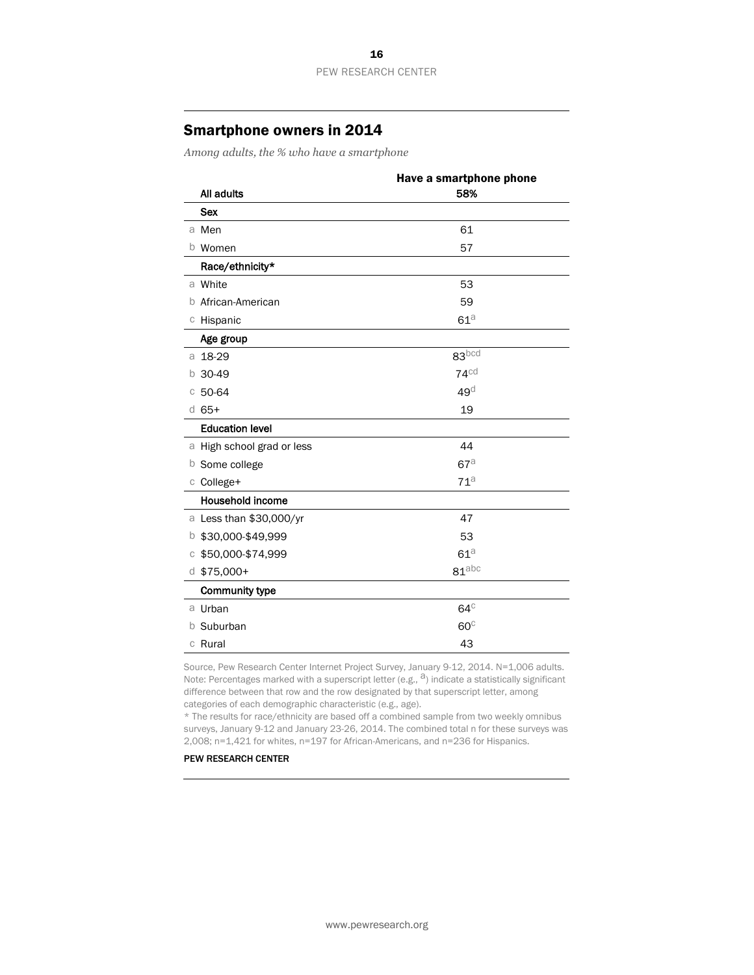### Smartphone owners in 2014

*Among adults, the % who have a smartphone*

|                            | Have a smartphone phone |
|----------------------------|-------------------------|
| All adults                 | 58%                     |
| <b>Sex</b>                 |                         |
| a Men                      | 61                      |
| b Women                    | 57                      |
| Race/ethnicity*            |                         |
| a White                    | 53                      |
| African-American<br>b      | 59                      |
| c Hispanic                 | $61^{\text{a}}$         |
| Age group                  |                         |
| a 18-29                    | 83 <sub>pcd</sub>       |
| 30-49<br>b                 | $74^\text{cd}$          |
| 50-64<br>C                 | $49^\circ$              |
| $d$ 65+                    | 19                      |
| <b>Education level</b>     |                         |
| a High school grad or less | 44                      |
| Some college<br>b          | 67a                     |
| c College+                 | 71 <sup>a</sup>         |
| <b>Household income</b>    |                         |
| a Less than \$30,000/yr    | 47                      |
| \$30,000-\$49,999<br>b     | 53                      |
| \$50,000-\$74,999<br>С     | 61a                     |
| $d$ \$75,000+              | $81$ abc                |
| <b>Community type</b>      |                         |
| a Urban                    | $64^\circ$              |
| Suburban<br>b              | $60^\circ$              |
| c Rural                    | 43                      |

Source, Pew Research Center Internet Project Survey, January 9-12, 2014. N=1,006 adults. Note: Percentages marked with a superscript letter (e.g.,  $a$ ) indicate a statistically significant difference between that row and the row designated by that superscript letter, among categories of each demographic characteristic (e.g., age).

\* The results for race/ethnicity are based off a combined sample from two weekly omnibus surveys, January 9-12 and January 23-26, 2014. The combined total n for these surveys was 2,008; n=1,421 for whites, n=197 for African-Americans, and n=236 for Hispanics.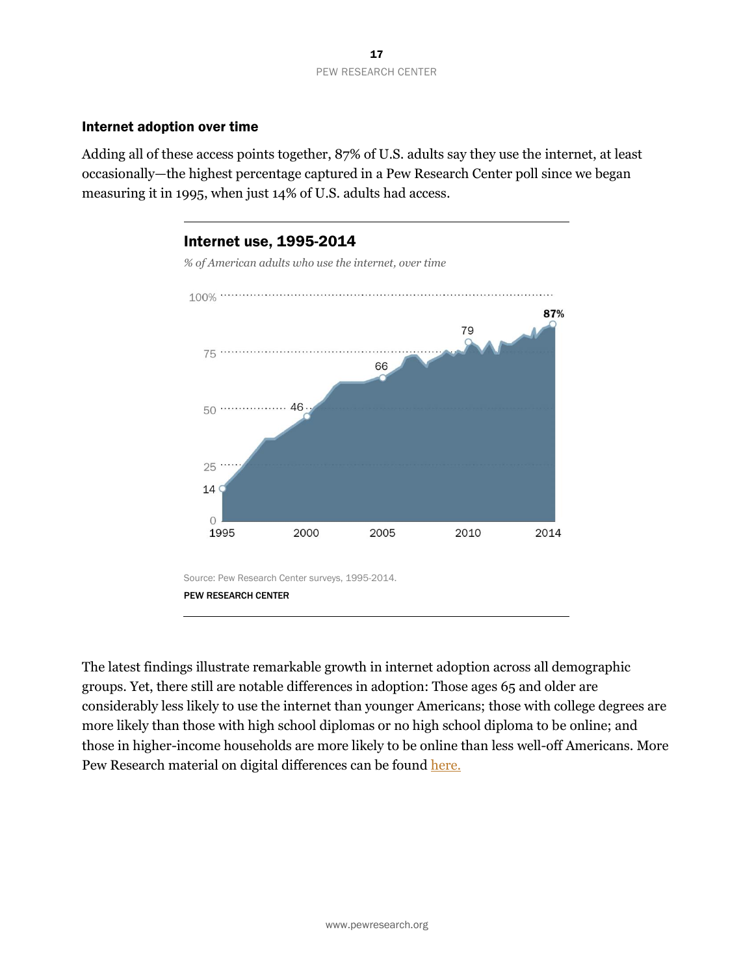### Internet adoption over time

Adding all of these access points together, 87% of U.S. adults say they use the internet, at least occasionally—the highest percentage captured in a Pew Research Center poll since we began measuring it in 1995, when just 14% of U.S. adults had access.



The latest findings illustrate remarkable growth in internet adoption across all demographic groups. Yet, there still are notable differences in adoption: Those ages 65 and older are considerably less likely to use the internet than younger Americans; those with college degrees are more likely than those with high school diplomas or no high school diploma to be online; and those in higher-income households are more likely to be online than less well-off Americans. More Pew Research material on digital differences can be found [here.](http://www.pewinternet.org/topics/digital-divide/)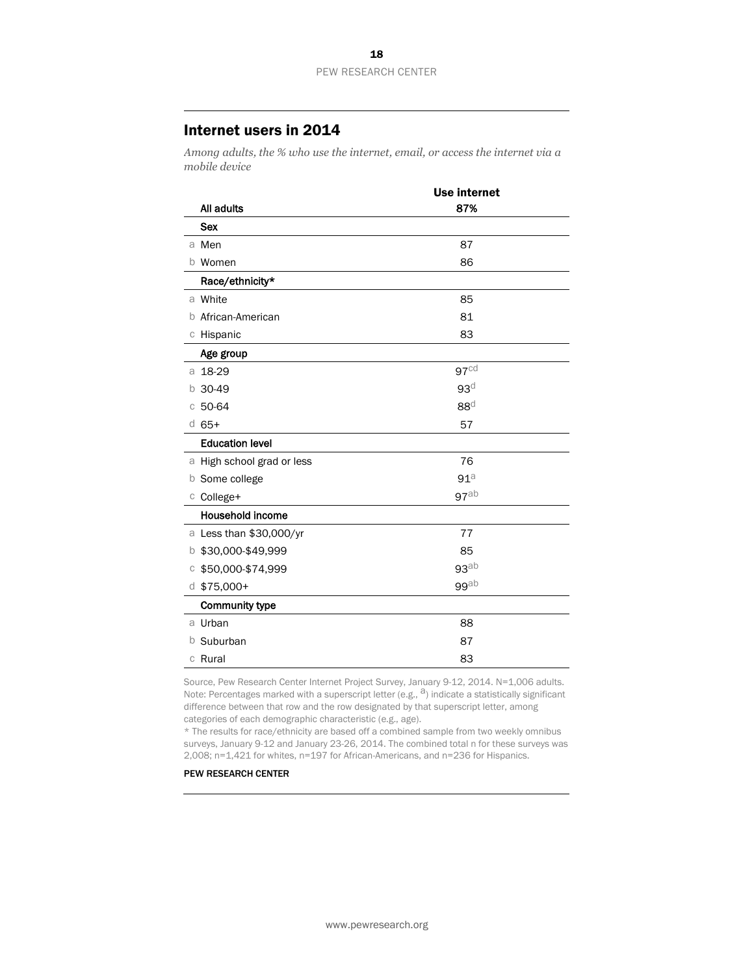### Internet users in 2014

*Among adults, the % who use the internet, email, or access the internet via a mobile device*

|                            | <b>Use internet</b> |
|----------------------------|---------------------|
| All adults                 | 87%                 |
| <b>Sex</b>                 |                     |
| a Men                      | 87                  |
| b Women                    | 86                  |
| Race/ethnicity*            |                     |
| a White                    | 85                  |
| African-American<br>b      | 81                  |
| c Hispanic                 | 83                  |
| Age group                  |                     |
| 18-29<br>a                 | 97 <sup>cd</sup>    |
| 30-49<br>b                 | 93 <sup>d</sup>     |
| 50-64<br>C                 | 88 <sup>d</sup>     |
| $d$ 65+                    | 57                  |
| <b>Education level</b>     |                     |
| a High school grad or less | 76                  |
| <b>b</b> Some college      | 91 <sup>a</sup>     |
| c College+                 | 97ab                |
| Household income           |                     |
| a Less than \$30,000/yr    | 77                  |
| \$30,000-\$49,999<br>b     | 85                  |
| \$50,000-\$74,999<br>C     | 93 <sup>ab</sup>    |
| $d$ \$75,000+              | $99$ ab             |
| <b>Community type</b>      |                     |
| a Urban                    | 88                  |
| Suburban<br>b              | 87                  |
| c Rural                    | 83                  |

Source, Pew Research Center Internet Project Survey, January 9-12, 2014. N=1,006 adults. Note: Percentages marked with a superscript letter (e.g.,  $a$ ) indicate a statistically significant difference between that row and the row designated by that superscript letter, among categories of each demographic characteristic (e.g., age).

\* The results for race/ethnicity are based off a combined sample from two weekly omnibus surveys, January 9-12 and January 23-26, 2014. The combined total n for these surveys was 2,008; n=1,421 for whites, n=197 for African-Americans, and n=236 for Hispanics.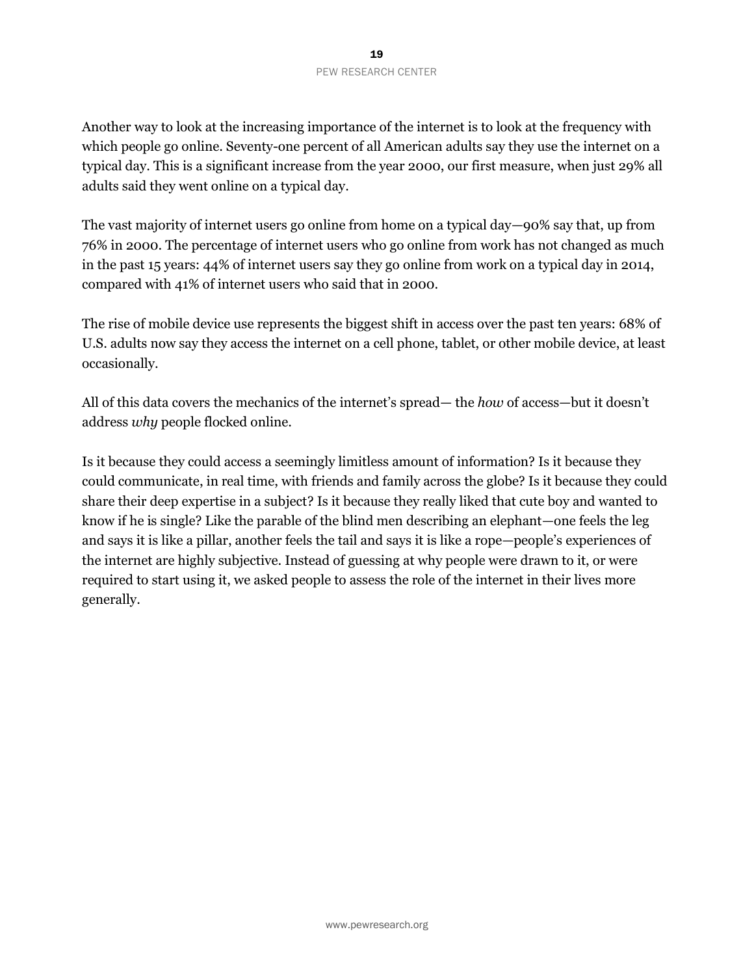Another way to look at the increasing importance of the internet is to look at the frequency with which people go online. Seventy-one percent of all American adults say they use the internet on a typical day. This is a significant increase from the year 2000, our first measure, when just 29% all adults said they went online on a typical day.

The vast majority of internet users go online from home on a typical day—90% say that, up from 76% in 2000. The percentage of internet users who go online from work has not changed as much in the past 15 years: 44% of internet users say they go online from work on a typical day in 2014, compared with 41% of internet users who said that in 2000.

The rise of mobile device use represents the biggest shift in access over the past ten years: 68% of U.S. adults now say they access the internet on a cell phone, tablet, or other mobile device, at least occasionally.

All of this data covers the mechanics of the internet's spread— the *how* of access—but it doesn't address *why* people flocked online.

Is it because they could access a seemingly limitless amount of information? Is it because they could communicate, in real time, with friends and family across the globe? Is it because they could share their deep expertise in a subject? Is it because they really liked that cute boy and wanted to know if he is single? Like the parable of the blind men describing an elephant—one feels the leg and says it is like a pillar, another feels the tail and says it is like a rope—people's experiences of the internet are highly subjective. Instead of guessing at why people were drawn to it, or were required to start using it, we asked people to assess the role of the internet in their lives more generally.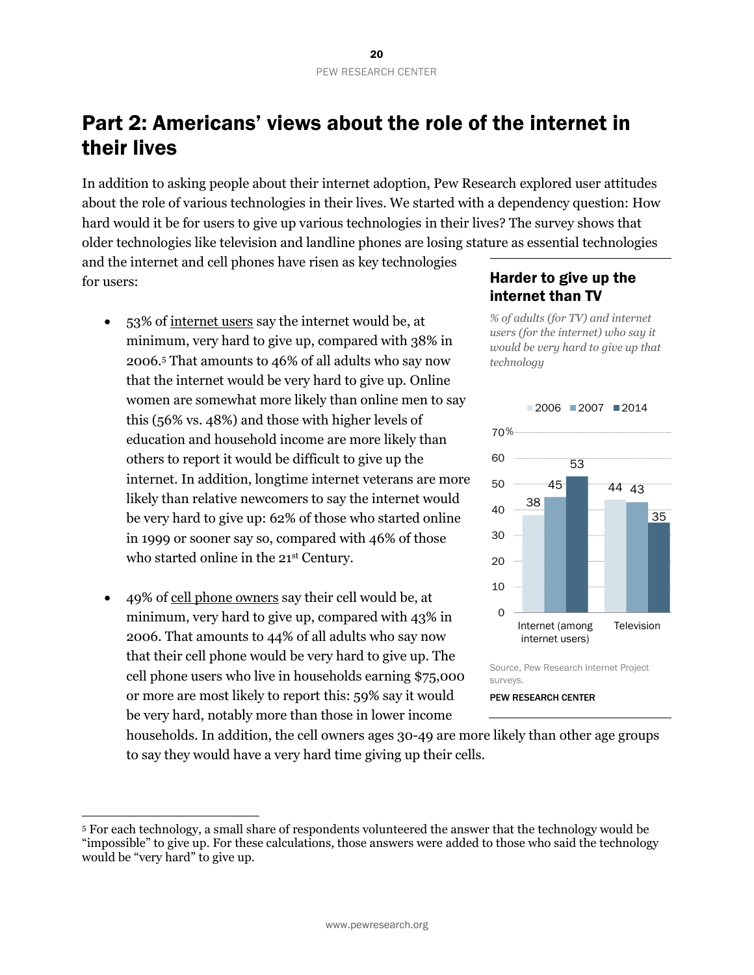# <span id="page-20-0"></span>Part 2: Americans' views about the role of the internet in their lives

In addition to asking people about their internet adoption, Pew Research explored user attitudes about the role of various technologies in their lives. We started with a dependency question: How hard would it be for users to give up various technologies in their lives? The survey shows that older technologies like television and landline phones are losing stature as essential technologies

and the internet and cell phones have risen as key technologies for users:

- 53% of internet users say the internet would be, at minimum, very hard to give up, compared with 38% in 2006.<sup>5</sup> That amounts to 46% of all adults who say now that the internet would be very hard to give up. Online women are somewhat more likely than online men to say this (56% vs. 48%) and those with higher levels of education and household income are more likely than others to report it would be difficult to give up the internet. In addition, longtime internet veterans are more likely than relative newcomers to say the internet would be very hard to give up: 62% of those who started online in 1999 or sooner say so, compared with 46% of those who started online in the 21<sup>st</sup> Century.
- 49% of cell phone owners say their cell would be, at minimum, very hard to give up, compared with 43% in 2006. That amounts to 44% of all adults who say now that their cell phone would be very hard to give up. The cell phone users who live in households earning \$75,000 or more are most likely to report this: 59% say it would be very hard, notably more than those in lower income

 $\overline{a}$ 

### Harder to give up the internet than TV

*% of adults (for TV) and internet users (for the internet) who say it would be very hard to give up that technology*



Source, Pew Research Internet Project surveys.

### PEW RESEARCH CENTER

households. In addition, the cell owners ages 30-49 are more likely than other age groups to say they would have a very hard time giving up their cells.

<sup>5</sup> For each technology, a small share of respondents volunteered the answer that the technology would be "impossible" to give up. For these calculations, those answers were added to those who said the technology would be "very hard" to give up.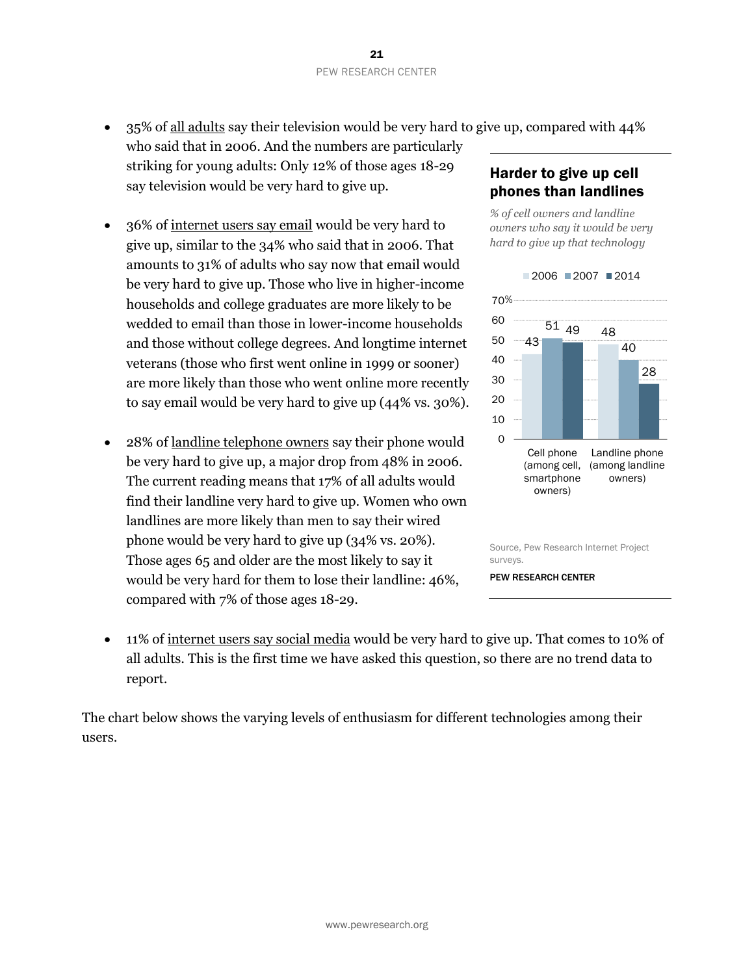35% of all adults say their television would be very hard to give up, compared with 44%

- who said that in 2006. And the numbers are particularly striking for young adults: Only 12% of those ages 18-29 say television would be very hard to give up.
- 36% of internet users say email would be very hard to give up, similar to the 34% who said that in 2006. That amounts to 31% of adults who say now that email would be very hard to give up. Those who live in higher-income households and college graduates are more likely to be wedded to email than those in lower-income households and those without college degrees. And longtime internet veterans (those who first went online in 1999 or sooner) are more likely than those who went online more recently to say email would be very hard to give up (44% vs. 30%).
- 28% of landline telephone owners say their phone would be very hard to give up, a major drop from 48% in 2006. The current reading means that 17% of all adults would find their landline very hard to give up. Women who own landlines are more likely than men to say their wired phone would be very hard to give up (34% vs. 20%). Those ages 65 and older are the most likely to say it would be very hard for them to lose their landline: 46%, compared with 7% of those ages 18-29.

### Harder to give up cell phones than landlines

*% of cell owners and landline owners who say it would be very hard to give up that technology*



surveys.

PEW RESEARCH CENTER

 11% of internet users say social media would be very hard to give up. That comes to 10% of all adults. This is the first time we have asked this question, so there are no trend data to report.

The chart below shows the varying levels of enthusiasm for different technologies among their users.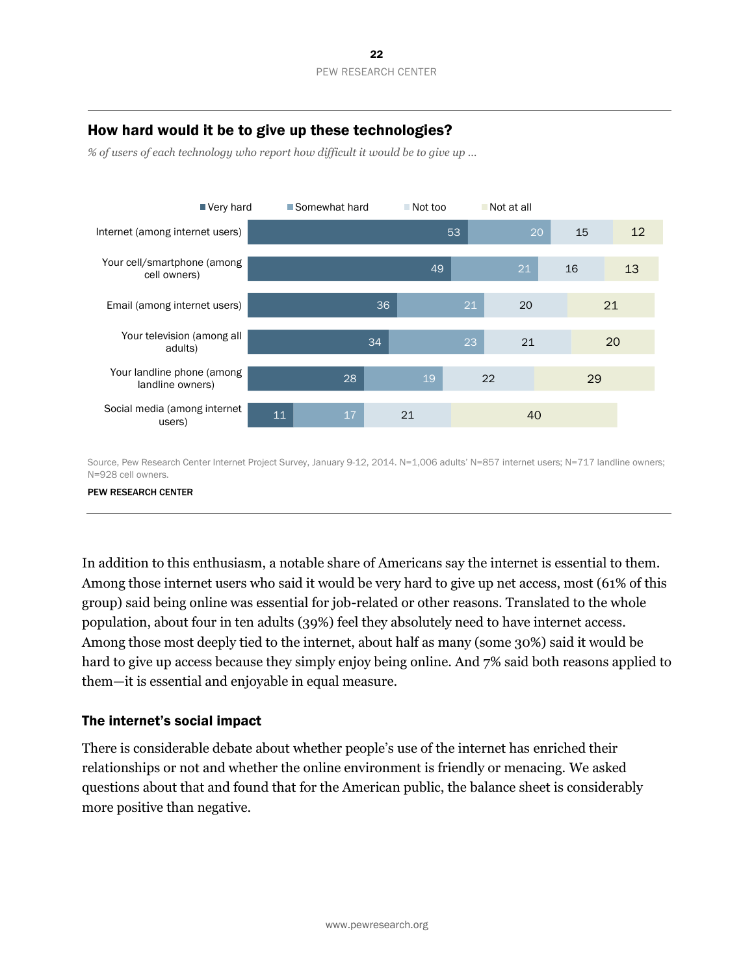### How hard would it be to give up these technologies?

*% of users of each technology who report how difficult it would be to give up …* 



Source, Pew Research Center Internet Project Survey, January 9-12, 2014. N=1,006 adults' N=857 internet users; N=717 landline owners; N=928 cell owners.

#### PEW RESEARCH CENTER

In addition to this enthusiasm, a notable share of Americans say the internet is essential to them. Among those internet users who said it would be very hard to give up net access, most (61% of this group) said being online was essential for job-related or other reasons. Translated to the whole population, about four in ten adults (39%) feel they absolutely need to have internet access. Among those most deeply tied to the internet, about half as many (some 30%) said it would be hard to give up access because they simply enjoy being online. And 7% said both reasons applied to them—it is essential and enjoyable in equal measure.

### The internet's social impact

There is considerable debate about whether people's use of the internet has enriched their relationships or not and whether the online environment is friendly or menacing. We asked questions about that and found that for the American public, the balance sheet is considerably more positive than negative.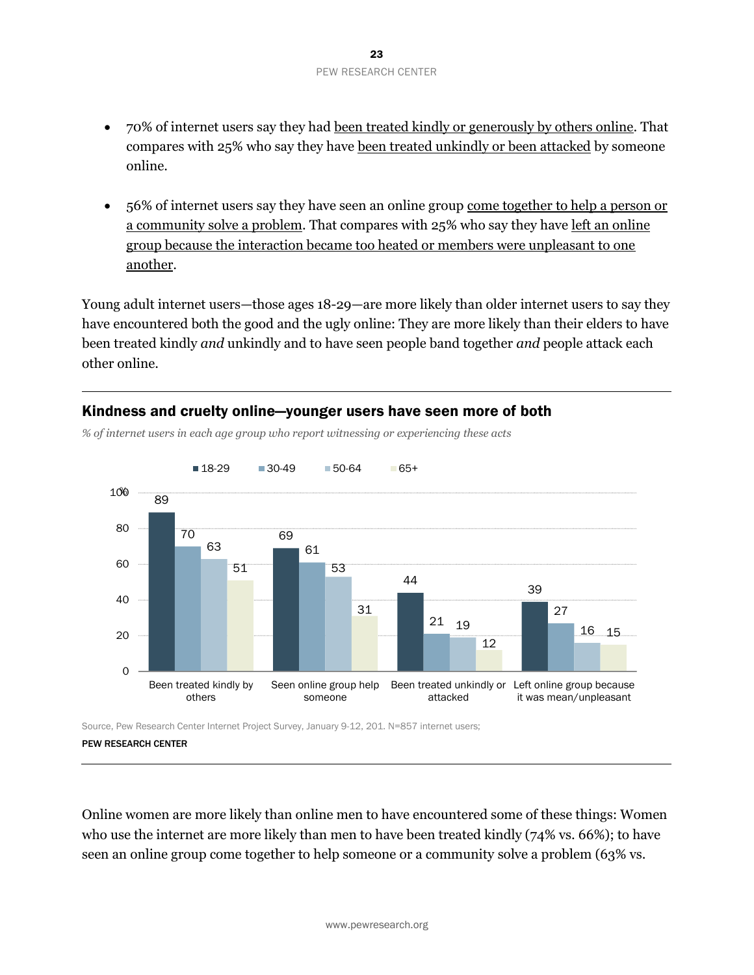- 70% of internet users say they had been treated kindly or generously by others online. That compares with 25% who say they have been treated unkindly or been attacked by someone online.
- 56% of internet users say they have seen an online group come together to help a person or a community solve a problem. That compares with 25% who say they have left an online group because the interaction became too heated or members were unpleasant to one another.

Young adult internet users—those ages 18-29—are more likely than older internet users to say they have encountered both the good and the ugly online: They are more likely than their elders to have been treated kindly *and* unkindly and to have seen people band together *and* people attack each other online.



### Kindness and cruelty online—younger users have seen more of both

*% of internet users in each age group who report witnessing or experiencing these acts*

PEW RESEARCH CENTER

Online women are more likely than online men to have encountered some of these things: Women who use the internet are more likely than men to have been treated kindly (74% vs. 66%); to have seen an online group come together to help someone or a community solve a problem (63% vs.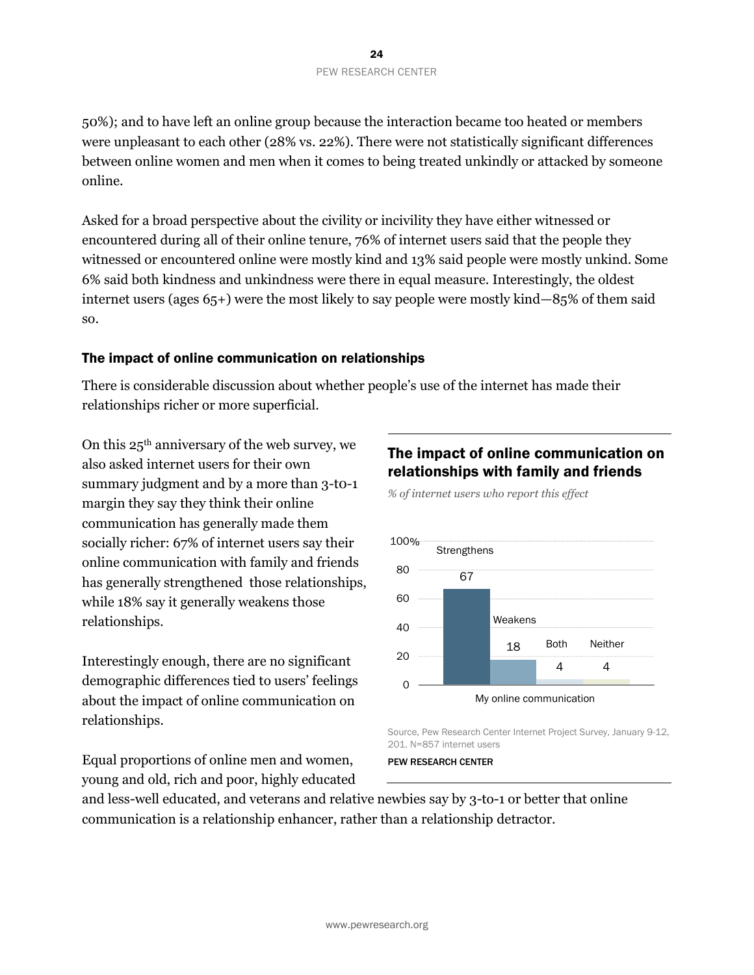50%); and to have left an online group because the interaction became too heated or members were unpleasant to each other (28% vs. 22%). There were not statistically significant differences between online women and men when it comes to being treated unkindly or attacked by someone online.

Asked for a broad perspective about the civility or incivility they have either witnessed or encountered during all of their online tenure, 76% of internet users said that the people they witnessed or encountered online were mostly kind and 13% said people were mostly unkind. Some 6% said both kindness and unkindness were there in equal measure. Interestingly, the oldest internet users (ages 65+) were the most likely to say people were mostly kind—85% of them said so.

### The impact of online communication on relationships

There is considerable discussion about whether people's use of the internet has made their relationships richer or more superficial.

On this 25th anniversary of the web survey, we also asked internet users for their own summary judgment and by a more than 3-t0-1 margin they say they think their online communication has generally made them socially richer: 67% of internet users say their online communication with family and friends has generally strengthened those relationships, while 18% say it generally weakens those relationships.

Interestingly enough, there are no significant demographic differences tied to users' feelings about the impact of online communication on relationships.

Equal proportions of online men and women, young and old, rich and poor, highly educated

# The impact of online communication on relationships with family and friends

*% of internet users who report this effect*



Source, Pew Research Center Internet Project Survey, January 9-12, 201. N=857 internet users

#### PEW RESEARCH CENTER

and less-well educated, and veterans and relative newbies say by 3-to-1 or better that online communication is a relationship enhancer, rather than a relationship detractor.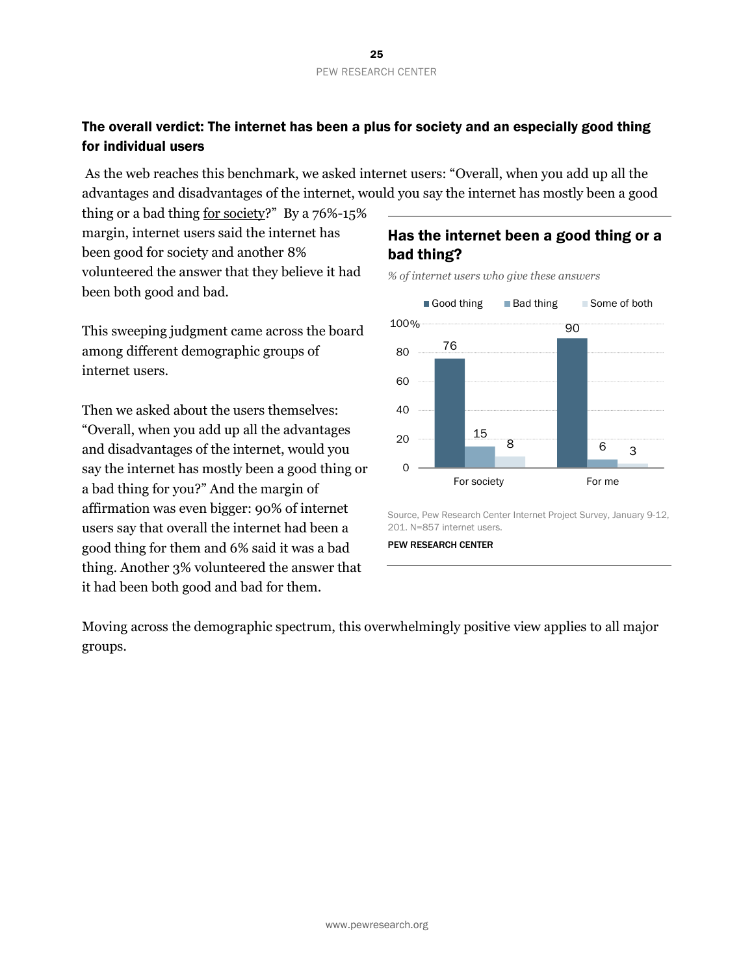### The overall verdict: The internet has been a plus for society and an especially good thing for individual users

As the web reaches this benchmark, we asked internet users: "Overall, when you add up all the advantages and disadvantages of the internet, would you say the internet has mostly been a good

thing or a bad thing for society?" By a 76%-15% margin, internet users said the internet has been good for society and another 8% volunteered the answer that they believe it had been both good and bad.

This sweeping judgment came across the board among different demographic groups of internet users.

Then we asked about the users themselves: "Overall, when you add up all the advantages and disadvantages of the internet, would you say the internet has mostly been a good thing or a bad thing for you?" And the margin of affirmation was even bigger: 90% of internet users say that overall the internet had been a good thing for them and 6% said it was a bad thing. Another 3% volunteered the answer that it had been both good and bad for them.

### Has the internet been a good thing or a bad thing?

*% of internet users who give these answers*



Source, Pew Research Center Internet Project Survey, January 9-12, 201. N=857 internet users.

PEW RESEARCH CENTER

Moving across the demographic spectrum, this overwhelmingly positive view applies to all major groups.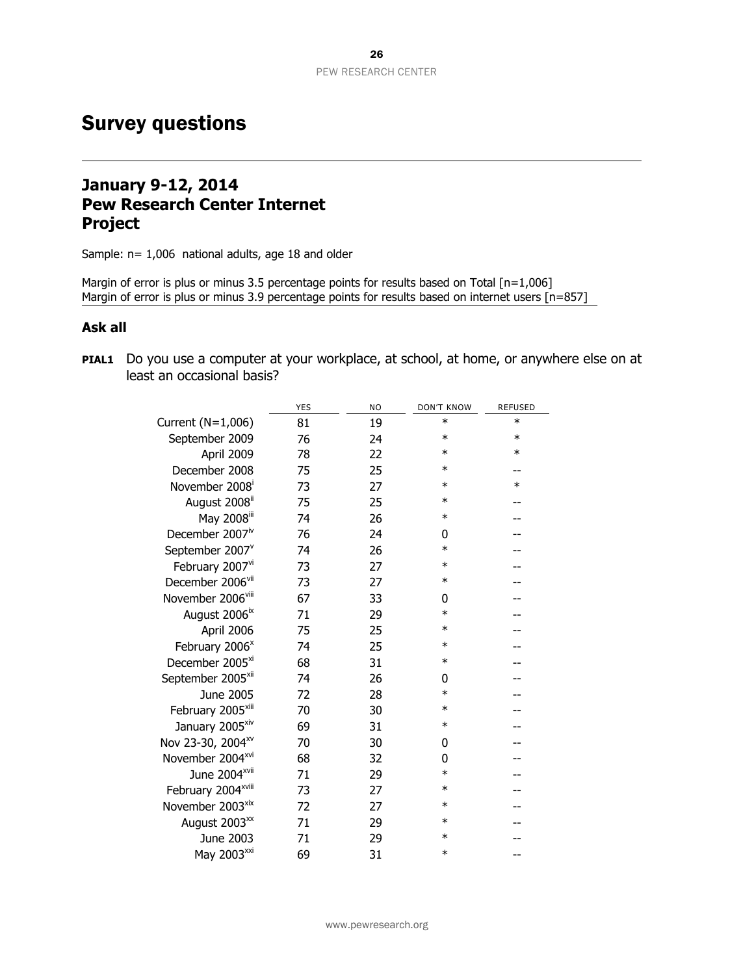# <span id="page-26-0"></span>Survey questions

# **January 9-12, 2014 Pew Research Center Internet Project**

Sample: n= 1,006 national adults, age 18 and older

Margin of error is plus or minus 3.5 percentage points for results based on Total [n=1,006] Margin of error is plus or minus 3.9 percentage points for results based on internet users [n=857]

### **Ask all**

**PIAL1** Do you use a computer at your workplace, at school, at home, or anywhere else on at least an occasional basis?

|                                | <b>YES</b> | <b>NO</b> | <b>DON'T KNOW</b> | <b>REFUSED</b> |
|--------------------------------|------------|-----------|-------------------|----------------|
| Current (N=1,006)              | 81         | 19        | $\ast$            | $\ast$         |
| September 2009                 | 76         | 24        | $\ast$            | $\ast$         |
| April 2009                     | 78         | 22        | $\ast$            | $\ast$         |
| December 2008                  | 75         | 25        | $\ast$            |                |
| November 2008 <sup>i</sup>     | 73         | 27        | $\ast$            | $\ast$         |
| August 2008"                   | 75         | 25        | $\ast$            |                |
| May 2008iii                    | 74         | 26        | $\ast$            |                |
| December 2007 <sup>iv</sup>    | 76         | 24        | 0                 |                |
| September 2007 <sup>v</sup>    | 74         | 26        | $\ast$            |                |
| February 2007vi                | 73         | 27        | $\ast$            |                |
| December 2006 <sup>vii</sup>   | 73         | 27        | $\ast$            |                |
| November 2006 <sup>viii</sup>  | 67         | 33        | 0                 |                |
| August 2006 <sup>ix</sup>      | 71         | 29        | $\ast$            |                |
| April 2006                     | 75         | 25        | $\ast$            |                |
| February 2006 <sup>x</sup>     | 74         | 25        | $\ast$            |                |
| December 2005 <sup>xi</sup>    | 68         | 31        | $\ast$            |                |
| September 2005 <sup>xii</sup>  | 74         | 26        | 0                 |                |
| June 2005                      | 72         | 28        | $\ast$            |                |
| February 2005 <sup>xiii</sup>  | 70         | 30        | $\ast$            |                |
| January 2005 <sup>xiv</sup>    | 69         | 31        | $\ast$            |                |
| Nov 23-30, 2004 <sup>xv</sup>  | 70         | 30        | 0                 |                |
| November 2004 <sup>xvi</sup>   | 68         | 32        | 0                 |                |
| June 2004 <sup>xvii</sup>      | 71         | 29        | $\ast$            |                |
| February 2004 <sup>xviii</sup> | 73         | 27        | $\ast$            |                |
| November 2003 <sup>xix</sup>   | 72         | 27        | $\ast$            |                |
| August 2003 <sup>xx</sup>      | 71         | 29        | $\ast$            |                |
| June 2003                      | 71         | 29        | $\ast$            |                |
| May 2003 <sup>xxi</sup>        | 69         | 31        | $\ast$            |                |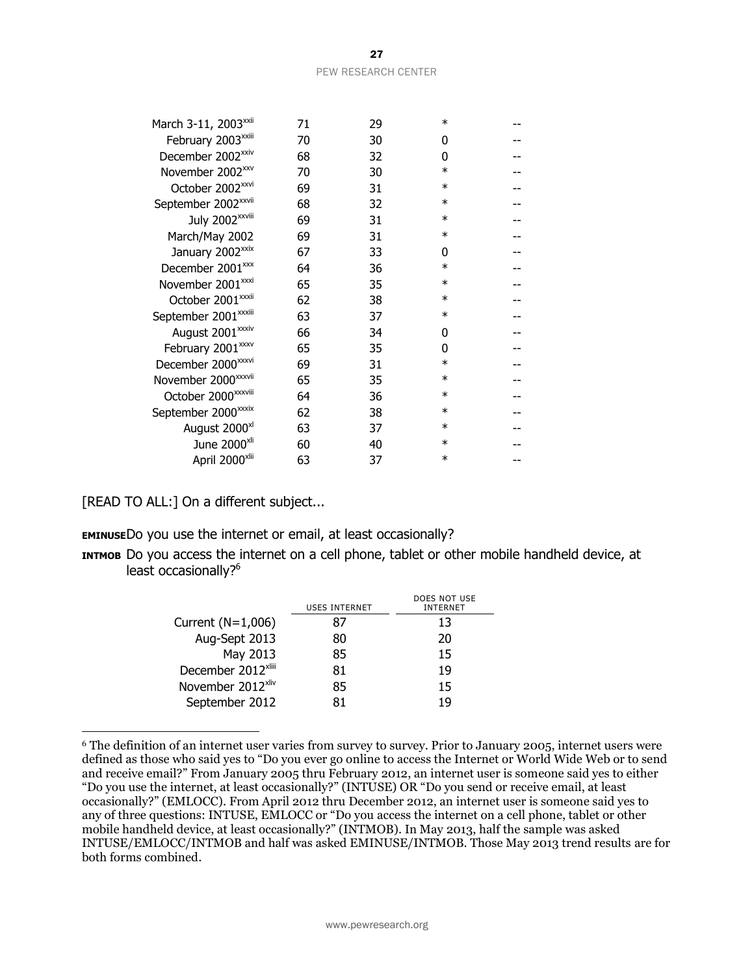| March 3-11, 2003 <sup>xxii</sup> | 71 | 29 | $\ast$  |  |
|----------------------------------|----|----|---------|--|
| February 2003 <sup>xxiii</sup>   | 70 | 30 | 0       |  |
| December 2002 <sup>xxiv</sup>    | 68 | 32 | 0       |  |
| November 2002 <sup>xxv</sup>     | 70 | 30 | $\ast$  |  |
| October 2002 <sup>xxvi</sup>     | 69 | 31 | $\ast$  |  |
| September 2002 <sup>xxvii</sup>  | 68 | 32 | $^\ast$ |  |
| July 2002 <sup>xxviii</sup>      | 69 | 31 | $\ast$  |  |
| March/May 2002                   | 69 | 31 | $\ast$  |  |
| January 2002 <sup>xxix</sup>     | 67 | 33 | 0       |  |
| December 2001 <sup>xxx</sup>     | 64 | 36 | $^\ast$ |  |
| November 2001 <sup>xxxi</sup>    | 65 | 35 | $\ast$  |  |
| October 2001 <sup>xxxii</sup>    | 62 | 38 | $\ast$  |  |
| September 2001 <sup>xxxiii</sup> | 63 | 37 | $\ast$  |  |
| August 2001 <sup>xxxiv</sup>     | 66 | 34 | 0       |  |
| February 2001 <sup>xxxv</sup>    | 65 | 35 | 0       |  |
| December 2000 <sup>xxxvi</sup>   | 69 | 31 | $\ast$  |  |
| November 2000 <sup>xxxvii</sup>  | 65 | 35 | ∗       |  |
| October 2000 <sup>xxxviii</sup>  | 64 | 36 | $\ast$  |  |
| September 2000 <sup>xxxix</sup>  | 62 | 38 | $^\ast$ |  |
| August 2000 <sup>xl</sup>        | 63 | 37 | $\ast$  |  |
| June 2000 <sup>xli</sup>         | 60 | 40 | $\ast$  |  |
| April 2000 <sup>xlii</sup>       | 63 | 37 | $\ast$  |  |

[READ TO ALL:] On a different subject...

 $\overline{a}$ 

**EMINUSE**Do you use the internet or email, at least occasionally?

**INTMOB** Do you access the internet on a cell phone, tablet or other mobile handheld device, at least occasionally?<sup>6</sup>

|                                | USES INTERNET | DOES NOT USE<br><b>INTFRNFT</b> |
|--------------------------------|---------------|---------------------------------|
| Current $(N=1,006)$            |               | 13                              |
| Aug-Sept 2013                  |               | 20                              |
| May 2013                       | 85            | 15                              |
| December 2012 <sup>xliii</sup> | 81            | 1 Q                             |
| November 2012 <sup>xliv</sup>  | 85            | 15                              |
| September 2012                 |               |                                 |

<sup>6</sup> The definition of an internet user varies from survey to survey. Prior to January 2005, internet users were defined as those who said yes to "Do you ever go online to access the Internet or World Wide Web or to send and receive email?" From January 2005 thru February 2012, an internet user is someone said yes to either "Do you use the internet, at least occasionally?" (INTUSE) OR "Do you send or receive email, at least occasionally?" (EMLOCC). From April 2012 thru December 2012, an internet user is someone said yes to any of three questions: INTUSE, EMLOCC or "Do you access the internet on a cell phone, tablet or other mobile handheld device, at least occasionally?" (INTMOB). In May 2013, half the sample was asked INTUSE/EMLOCC/INTMOB and half was asked EMINUSE/INTMOB. Those May 2013 trend results are for both forms combined.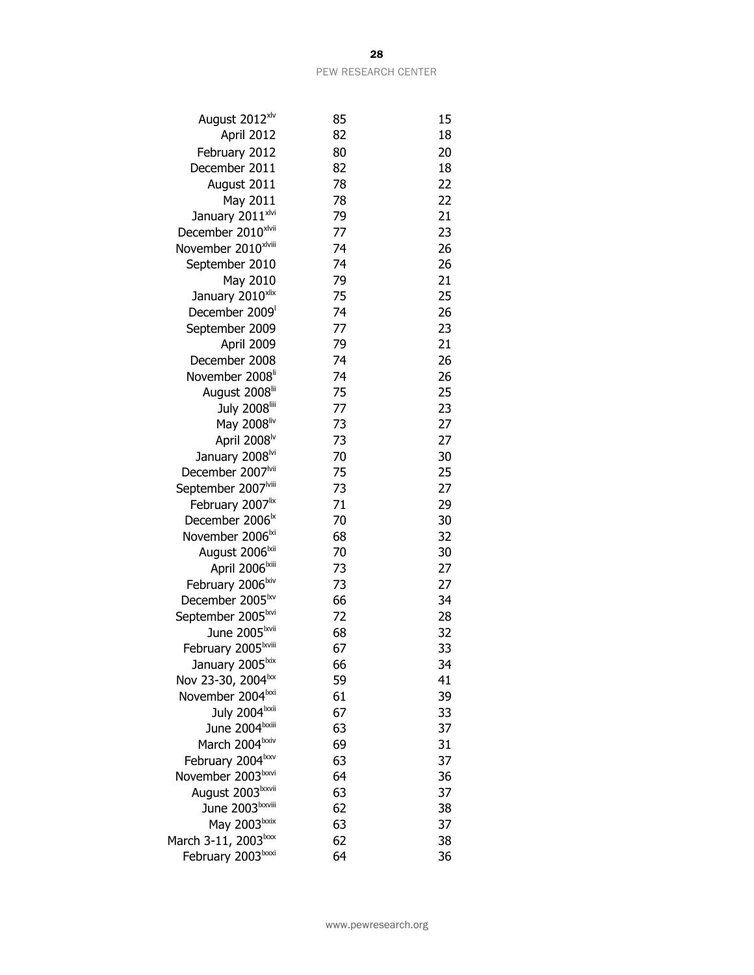| August 2012 <sup>xlv</sup>                                    | 85       | 15       |
|---------------------------------------------------------------|----------|----------|
| April 2012                                                    | 82       | 18       |
| February 2012                                                 | 80       | 20       |
| December 2011                                                 | 82       | 18       |
| August 2011                                                   | 78       | 22       |
| May 2011                                                      | 78       | 22       |
| January 2011 <sup>xlvi</sup>                                  | 79       | 21       |
| December 2010xlvii                                            | 77       | 23       |
| November 2010 <sup>xlviii</sup>                               | 74       | 26       |
| September 2010                                                | 74       | 26       |
| May 2010                                                      | 79       | 21       |
| January 2010 <sup>xlix</sup>                                  | 75       | 25       |
| December 2009                                                 | 74       | 26       |
| September 2009                                                | 77       | 23       |
| April 2009                                                    | 79       | 21       |
| December 2008                                                 | 74       | 26       |
| November 2008 <sup>ii</sup>                                   | 74       | 26       |
| August 2008 <sup>lii</sup>                                    | 75       | 25       |
| July 2008                                                     | 77       | 23       |
| May 2008liv                                                   | 73       | 27       |
| April 2008 <sup>lv</sup>                                      | 73       | 27       |
| January 2008 <sup>lvi</sup>                                   | 70       | 30       |
| December 2007 <sup>Ivii</sup>                                 | 75       | 25       |
| September 2007 <sup>Iviii</sup>                               | 73       | 27       |
| February 2007 <sup>lix</sup>                                  | 71       | 29       |
| December 2006 <sup>tx</sup>                                   | 70       | 30       |
| November 2006 <sup>lxi</sup>                                  | 68       | 32       |
| August 2006 <sup>lxii</sup>                                   | 70       | 30       |
| April 2006 <sup>Ixiii</sup>                                   | 73       | 27       |
| February 2006 <sup>lxiv</sup>                                 | 73       | 27       |
| December 2005 <sup>kv</sup>                                   | 66       | 34       |
| September 2005 <sup>lxvi</sup>                                | 72       | 28       |
| June 2005 <sup>lxvii</sup>                                    | 68       | 32       |
| February 2005 <sup>Ixviii</sup>                               | 67       | 33       |
| January 2005 <sup>1xix</sup>                                  | 66       | 34       |
| Nov 23-30, 2004 <sup>1xx</sup>                                | 59       | 41       |
| November 2004 <sup>lxxi</sup>                                 | 61       | 39       |
| July 2004 xxii                                                | 67       | 33       |
| June 2004 <sup>lxxiii</sup>                                   | 63       | 37       |
| March 2004lxxiv                                               | 69<br>63 | 31<br>37 |
| February 2004 <sup>1xxv</sup>                                 | 64       |          |
| November 2003 <sup>lxxvi</sup>                                |          | 36       |
| August 2003 <sup>1xxvii</sup><br>June 2003 <sup>Ixxviii</sup> | 63<br>62 | 37<br>38 |
| May 2003lxxix                                                 | 63       | 37       |
|                                                               | 62       | 38       |
| March 3-11, 2003 <sup>1xxx</sup><br>February 2003 xxxi        | 64       | 36       |
|                                                               |          |          |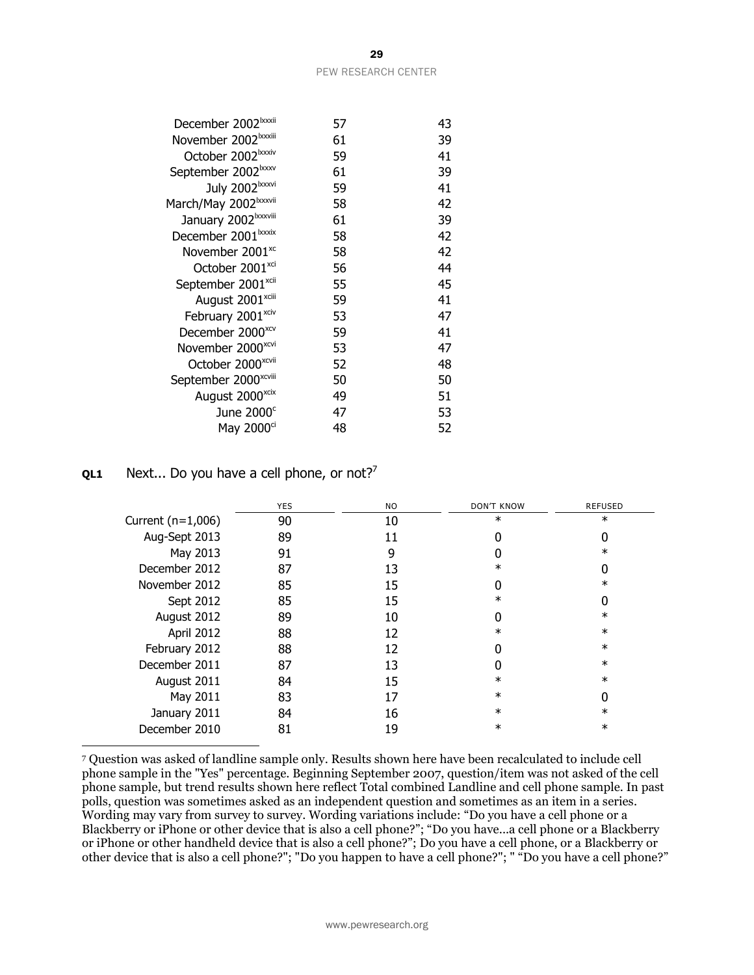| 57 | 43 |
|----|----|
| 61 | 39 |
| 59 | 41 |
| 61 | 39 |
| 59 | 41 |
| 58 | 42 |
| 61 | 39 |
| 58 | 42 |
| 58 | 42 |
| 56 | 44 |
| 55 | 45 |
| 59 | 41 |
| 53 | 47 |
| 59 | 41 |
| 53 | 47 |
| 52 | 48 |
| 50 | 50 |
| 49 | 51 |
| 47 | 53 |
| 48 | 52 |
|    |    |

### **QL1** Next... Do you have a cell phone, or not?<sup>7</sup>

 $\overline{a}$ 

|                     | <b>YES</b> | NO. | <b>DON'T KNOW</b> | <b>REFUSED</b> |
|---------------------|------------|-----|-------------------|----------------|
| Current $(n=1,006)$ | 90         | 10  | $\ast$            | $\ast$         |
| Aug-Sept 2013       | 89         | 11  | 0                 |                |
| May 2013            | 91         | 9   |                   | $\ast$         |
| December 2012       | 87         | 13  | $\ast$            |                |
| November 2012       | 85         | 15  |                   | $\ast$         |
| Sept 2012           | 85         | 15  | $\ast$            |                |
| August 2012         | 89         | 10  |                   | $\ast$         |
| April 2012          | 88         | 12  | $\ast$            | $\ast$         |
| February 2012       | 88         | 12  |                   | $\ast$         |
| December 2011       | 87         | 13  |                   | $\ast$         |
| August 2011         | 84         | 15  | $\ast$            | $\ast$         |
| May 2011            | 83         | 17  | $\ast$            |                |
| January 2011        | 84         | 16  | $\ast$            | $\ast$         |
| December 2010       | 81         | 19  | $^\ast$           | $\ast$         |

<sup>7</sup> Question was asked of landline sample only. Results shown here have been recalculated to include cell phone sample in the "Yes" percentage. Beginning September 2007, question/item was not asked of the cell phone sample, but trend results shown here reflect Total combined Landline and cell phone sample. In past polls, question was sometimes asked as an independent question and sometimes as an item in a series. Wording may vary from survey to survey. Wording variations include: "Do you have a cell phone or a Blackberry or iPhone or other device that is also a cell phone?"; "Do you have...a cell phone or a Blackberry or iPhone or other handheld device that is also a cell phone?"; Do you have a cell phone, or a Blackberry or other device that is also a cell phone?"; "Do you happen to have a cell phone?"; " "Do you have a cell phone?"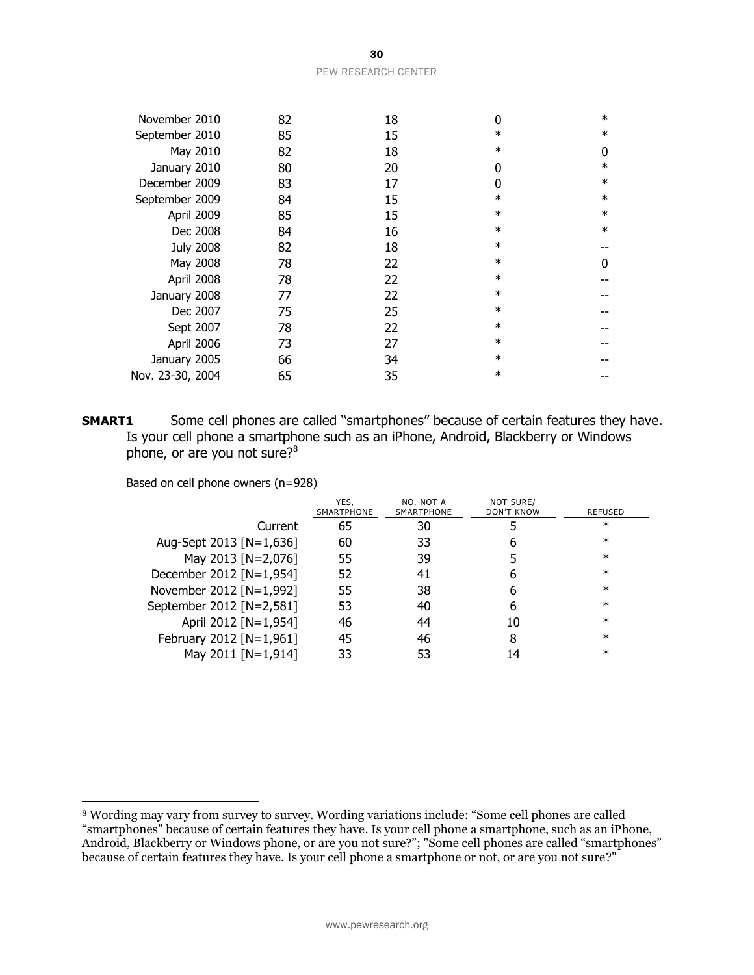| May 2010         | 82 | 18 | $\ast$ | 0      |
|------------------|----|----|--------|--------|
| January 2010     | 80 | 20 | 0      | $\ast$ |
| December 2009    | 83 | 17 | 0      | $\ast$ |
| September 2009   | 84 | 15 | $\ast$ | $\ast$ |
| April 2009       | 85 | 15 | $\ast$ | $\ast$ |
| Dec 2008         | 84 | 16 | $\ast$ | $\ast$ |
| <b>July 2008</b> | 82 | 18 | $\ast$ |        |
| May 2008         | 78 | 22 | $\ast$ | 0      |
| April 2008       | 78 | 22 | $\ast$ |        |
| January 2008     | 77 | 22 | $\ast$ |        |
| Dec 2007         | 75 | 25 | $\ast$ |        |
| Sept 2007        | 78 | 22 | $\ast$ |        |
| April 2006       | 73 | 27 | $\ast$ |        |
| January 2005     | 66 | 34 | $\ast$ |        |
| Nov. 23-30, 2004 | 65 | 35 | $\ast$ |        |

**SMART1** Some cell phones are called "smartphones" because of certain features they have. Is your cell phone a smartphone such as an iPhone, Android, Blackberry or Windows phone, or are you not sure? $8^8$ 

Based on cell phone owners (n=928)

 $\overline{a}$ 

|                          | YES,<br>SMARTPHONE | NO, NOT A<br>SMARTPHONE | NOT SURE/<br><b>DON'T KNOW</b> | REFUSED |
|--------------------------|--------------------|-------------------------|--------------------------------|---------|
| Current                  | 65                 | 30                      |                                | ж       |
| Aug-Sept 2013 [N=1,636]  | 60                 | 33                      | h                              | $^\ast$ |
| May 2013 [N=2,076]       | 55                 | 39                      |                                | $^\ast$ |
| December 2012 [N=1,954]  | 52                 | 41                      | h                              | $\ast$  |
| November 2012 [N=1,992]  | 55                 | 38                      | h                              | $\ast$  |
| September 2012 [N=2,581] | 53                 | 40                      | h                              | $\ast$  |
| April 2012 [N=1,954]     | 46                 | 44                      | 10                             | $\ast$  |
| February 2012 [N=1,961]  | 45                 | 46                      | 8                              | $\ast$  |
| May 2011 [N=1,914]       | 33                 |                         |                                | $^\ast$ |

November 2010 82 18 0 \* September 2010 85 15 \* \*

<sup>8</sup> Wording may vary from survey to survey. Wording variations include: "Some cell phones are called "smartphones" because of certain features they have. Is your cell phone a smartphone, such as an iPhone, Android, Blackberry or Windows phone, or are you not sure?"; "Some cell phones are called "smartphones" because of certain features they have. Is your cell phone a smartphone or not, or are you not sure?"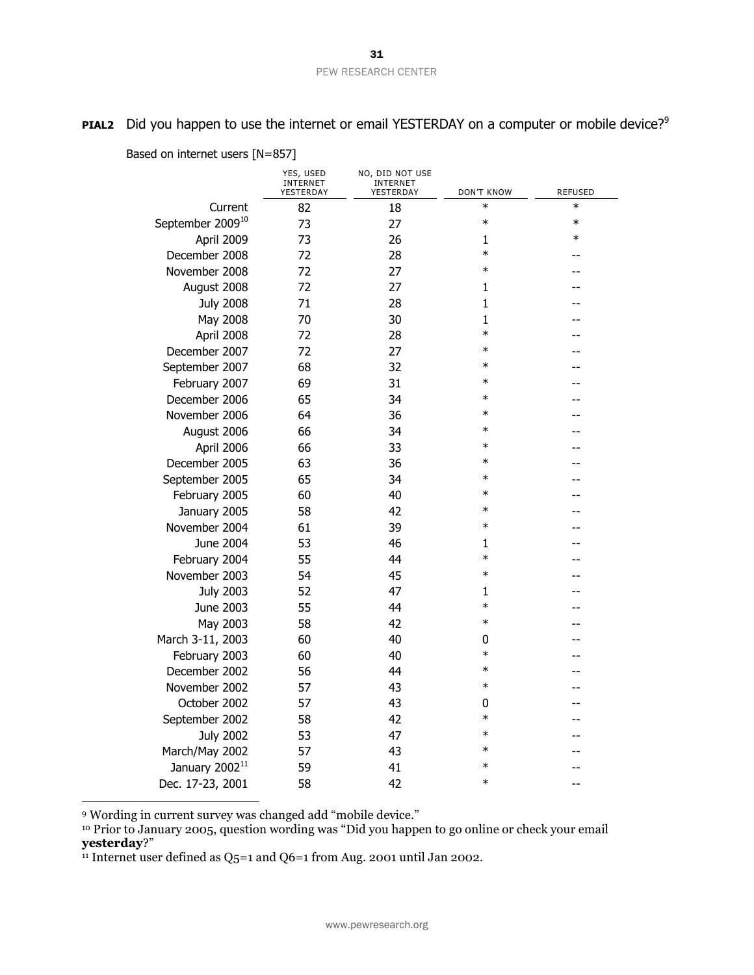**PIAL2** Did you happen to use the internet or email YESTERDAY on a computer or mobile device?<sup>9</sup>

|                              | YES, USED<br><b>INTERNET</b><br>YESTERDAY | NO, DID NOT USE<br>INTERNET<br>YESTERDAY | <b>DON'T KNOW</b> | <b>REFUSED</b> |
|------------------------------|-------------------------------------------|------------------------------------------|-------------------|----------------|
| Current                      | 82                                        | 18                                       | $\ast$            | $\ast$         |
| September 2009 <sup>10</sup> | 73                                        | 27                                       | $\ast$            | $\ast$         |
| April 2009                   | 73                                        | 26                                       | 1                 | $\ast$         |
| December 2008                | 72                                        | 28                                       | $\ast$            |                |
| November 2008                | 72                                        | 27                                       | $\ast$            |                |
| August 2008                  | 72                                        | 27                                       | $\mathbf{1}$      |                |
| <b>July 2008</b>             | 71                                        | 28                                       | $\mathbf{1}$      |                |
| May 2008                     | 70                                        | 30                                       | $\mathbf{1}$      |                |
| April 2008                   | 72                                        | 28                                       | $\ast$            |                |
| December 2007                | 72                                        | 27                                       | $\ast$            |                |
| September 2007               | 68                                        | 32                                       | $\ast$            |                |
| February 2007                | 69                                        | 31                                       | $\ast$            |                |
| December 2006                | 65                                        | 34                                       | $\ast$            |                |
| November 2006                | 64                                        | 36                                       | $\ast$            |                |
| August 2006                  | 66                                        | 34                                       | $\ast$            |                |
| April 2006                   | 66                                        | 33                                       | $\ast$            |                |
| December 2005                | 63                                        | 36                                       | $\ast$            |                |
| September 2005               | 65                                        | 34                                       | $\ast$            |                |
| February 2005                | 60                                        | 40                                       | $\ast$            |                |
| January 2005                 | 58                                        | 42                                       | $\ast$            |                |
| November 2004                | 61                                        | 39                                       | $\ast$            |                |
| June 2004                    | 53                                        | 46                                       | 1                 |                |
| February 2004                | 55                                        | 44                                       | $\ast$            |                |
| November 2003                | 54                                        | 45                                       | $\ast$            |                |
| <b>July 2003</b>             | 52                                        | 47                                       | 1                 |                |
| June 2003                    | 55                                        | 44                                       | $\ast$            |                |
| May 2003                     | 58                                        | 42                                       | $\ast$            |                |
| March 3-11, 2003             | 60                                        | 40                                       | 0                 |                |
| February 2003                | 60                                        | 40                                       | $\ast$            |                |
| December 2002                | 56                                        | 44                                       | $\ast$            |                |
| November 2002                | 57                                        | 43                                       | $\ast$            |                |
| October 2002                 | 57                                        | 43                                       | 0                 |                |
| September 2002               | 58                                        | 42                                       | $\ast$            |                |
| <b>July 2002</b>             | 53                                        | 47                                       | $\ast$            |                |
| March/May 2002               | 57                                        | 43                                       | $\ast$            |                |
| January 2002 <sup>11</sup>   | 59                                        | 41                                       | $\ast$            |                |
| Dec. 17-23, 2001             | 58                                        | 42                                       | $\ast$            |                |

Based on internet users [N=857]

<sup>9</sup> Wording in current survey was changed add "mobile device."

 $\overline{a}$ 

<sup>10</sup> Prior to January 2005, question wording was "Did you happen to go online or check your email **yesterday**?"

<sup>11</sup> Internet user defined as  $Q_5$ =1 and  $Q_6$ =1 from Aug. 2001 until Jan 2002.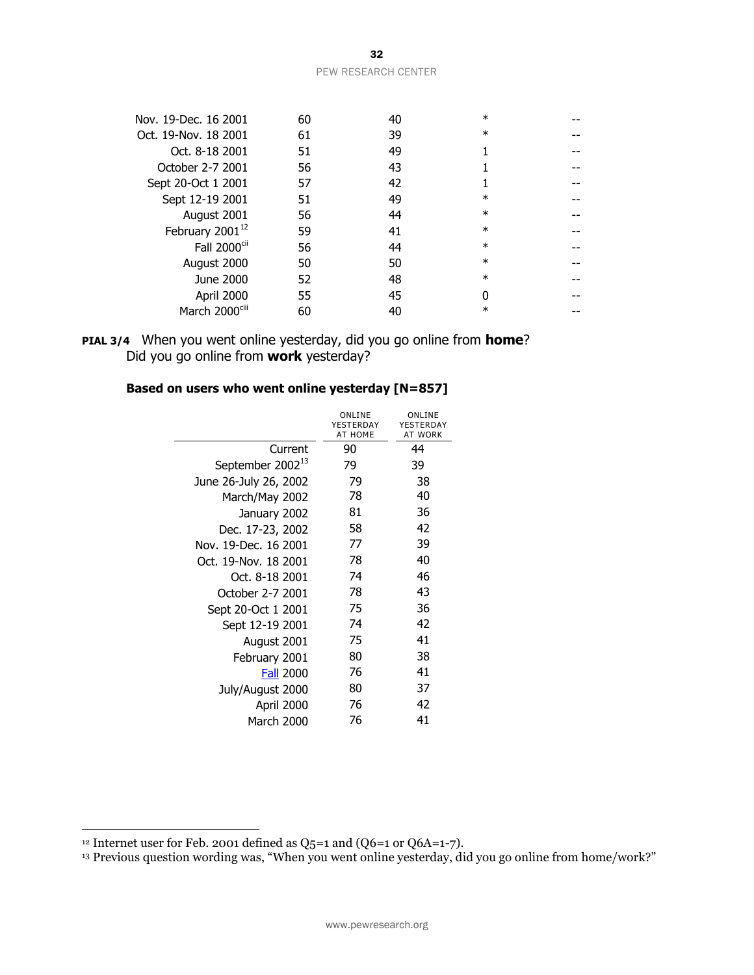| PEW RESEARCH CENTER |  |  |
|---------------------|--|--|

| Nov. 19-Dec. 16 2001        | 60 | 40 | $\ast$ |  |
|-----------------------------|----|----|--------|--|
| Oct. 19-Nov. 18 2001        | 61 | 39 | $\ast$ |  |
| Oct. 8-18 2001              | 51 | 49 |        |  |
| October 2-7 2001            | 56 | 43 |        |  |
| Sept 20-Oct 1 2001          | 57 | 42 |        |  |
| Sept 12-19 2001             | 51 | 49 | $\ast$ |  |
| August 2001                 | 56 | 44 | $\ast$ |  |
| February 2001 <sup>12</sup> | 59 | 41 | $\ast$ |  |
| Fall 2000 <sup>cii</sup>    | 56 | 44 | $\ast$ |  |
| August 2000                 | 50 | 50 | $\ast$ |  |
| June 2000                   | 52 | 48 | $\ast$ |  |
| April 2000                  | 55 | 45 | ŋ      |  |
| March 2000 <sup>ciii</sup>  | 60 | 40 | $\ast$ |  |
|                             |    |    |        |  |

### **PIAL 3/4** When you went online yesterday, did you go online from **home**? Did you go online from **work** yesterday?

### **Based on users who went online yesterday [N=857]**

|                              | ONLINE<br>YESTERDAY<br>AT HOME | ONLINE<br>YESTERDAY<br><b>AT WORK</b> |
|------------------------------|--------------------------------|---------------------------------------|
| Current                      | 90                             | 44                                    |
| September 2002 <sup>13</sup> | 79                             | 39                                    |
| June 26-July 26, 2002        | 79                             | 38                                    |
| March/May 2002               | 78                             | 40                                    |
| January 2002                 | 81                             | 36                                    |
| Dec. 17-23, 2002             | 58                             | 42                                    |
| Nov. 19-Dec. 16 2001         | 77                             | 39                                    |
| Oct. 19-Nov. 18 2001         | 78                             | 40                                    |
| Oct. 8-18 2001               | 74                             | 46                                    |
| October 2-7 2001             | 78                             | 43                                    |
| Sept 20-Oct 1 2001           | 75                             | 36                                    |
| Sept 12-19 2001              | 74                             | 42                                    |
| August 2001                  | 75                             | 41                                    |
| February 2001                | 80                             | 38                                    |
| <b>Fall 2000</b>             | 76                             | 41                                    |
| July/August 2000             | 80                             | 37                                    |
| April 2000                   | 76                             | 42                                    |
| March 2000                   | 76                             | 41                                    |

 $\overline{a}$ 

<sup>&</sup>lt;sup>12</sup> Internet user for Feb. 2001 defined as Q5=1 and (Q6=1 or Q6A=1-7).

<sup>13</sup> Previous question wording was, "When you went online yesterday, did you go online from home/work?"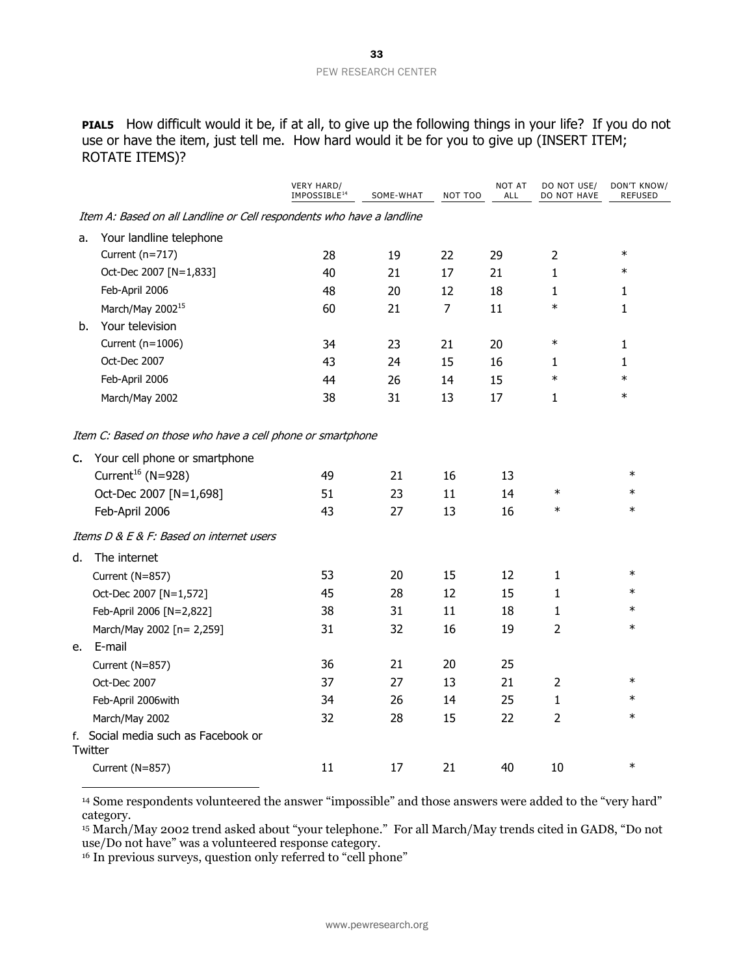**PIAL5** How difficult would it be, if at all, to give up the following things in your life? If you do not use or have the item, just tell me. How hard would it be for you to give up (INSERT ITEM; ROTATE ITEMS)?

|    |                                                                       | <b>VERY HARD/</b><br>IMPOSSIBLE <sup>14</sup> | SOME-WHAT | NOT TOO        | <b>NOT AT</b><br>ALL | DO NOT USE/<br>DO NOT HAVE | DON'T KNOW/<br><b>REFUSED</b> |
|----|-----------------------------------------------------------------------|-----------------------------------------------|-----------|----------------|----------------------|----------------------------|-------------------------------|
|    | Item A: Based on all Landline or Cell respondents who have a landline |                                               |           |                |                      |                            |                               |
| a. | Your landline telephone                                               |                                               |           |                |                      |                            |                               |
|    | Current (n=717)                                                       | 28                                            | 19        | 22             | 29                   | $\overline{2}$             | $\ast$                        |
|    | Oct-Dec 2007 [N=1,833]                                                | 40                                            | 21        | 17             | 21                   | $\mathbf{1}$               | $\ast$                        |
|    | Feb-April 2006                                                        | 48                                            | 20        | 12             | 18                   | 1                          | 1                             |
|    | March/May 2002 <sup>15</sup>                                          | 60                                            | 21        | $\overline{7}$ | 11                   | $\ast$                     | 1                             |
| b. | Your television                                                       |                                               |           |                |                      |                            |                               |
|    | Current (n=1006)                                                      | 34                                            | 23        | 21             | 20                   | $\ast$                     | 1                             |
|    | Oct-Dec 2007                                                          | 43                                            | 24        | 15             | 16                   | 1                          | 1                             |
|    | Feb-April 2006                                                        | 44                                            | 26        | 14             | 15                   | $\ast$                     | $\ast$                        |
|    | March/May 2002                                                        | 38                                            | 31        | 13             | 17                   | $\mathbf{1}$               | $\ast$                        |
|    | Item C: Based on those who have a cell phone or smartphone            |                                               |           |                |                      |                            |                               |
| c. | Your cell phone or smartphone                                         |                                               |           |                |                      |                            |                               |
|    | Current <sup>16</sup> (N=928)                                         | 49                                            | 21        | 16             | 13                   |                            | $\ast$                        |
|    | Oct-Dec 2007 [N=1,698]                                                | 51                                            | 23        | 11             | 14                   | $\ast$                     | $\ast$                        |
|    | Feb-April 2006                                                        | 43                                            | 27        | 13             | 16                   | $\ast$                     | $\ast$                        |
|    | Items D & E & F: Based on internet users                              |                                               |           |                |                      |                            |                               |
| d. | The internet                                                          |                                               |           |                |                      |                            |                               |
|    | Current (N=857)                                                       | 53                                            | 20        | 15             | 12                   | 1                          | $\ast$                        |
|    | Oct-Dec 2007 [N=1,572]                                                | 45                                            | 28        | 12             | 15                   | 1                          | $\ast$                        |
|    | Feb-April 2006 [N=2,822]                                              | 38                                            | 31        | 11             | 18                   | 1                          | $\ast$                        |
|    | March/May 2002 [n= 2,259]                                             | 31                                            | 32        | 16             | 19                   | $\overline{2}$             | $\ast$                        |
| e. | E-mail                                                                |                                               |           |                |                      |                            |                               |
|    | Current (N=857)                                                       | 36                                            | 21        | 20             | 25                   |                            |                               |
|    | Oct-Dec 2007                                                          | 37                                            | 27        | 13             | 21                   | 2                          | $\ast$                        |
|    | Feb-April 2006with                                                    | 34                                            | 26        | 14             | 25                   | 1                          | $\ast$                        |
|    | March/May 2002                                                        | 32                                            | 28        | 15             | 22                   | $\overline{2}$             | $\ast$                        |
|    | f. Social media such as Facebook or<br>Twitter                        |                                               |           |                |                      |                            |                               |
|    | Current (N=857)                                                       | 11                                            | 17        | 21             | 40                   | 10                         | $\ast$                        |

<sup>14</sup> Some respondents volunteered the answer "impossible" and those answers were added to the "very hard" category.

<sup>15</sup> March/May 2002 trend asked about "your telephone." For all March/May trends cited in GAD8, "Do not use/Do not have" was a volunteered response category.

<sup>16</sup> In previous surveys, question only referred to "cell phone"

 $\overline{a}$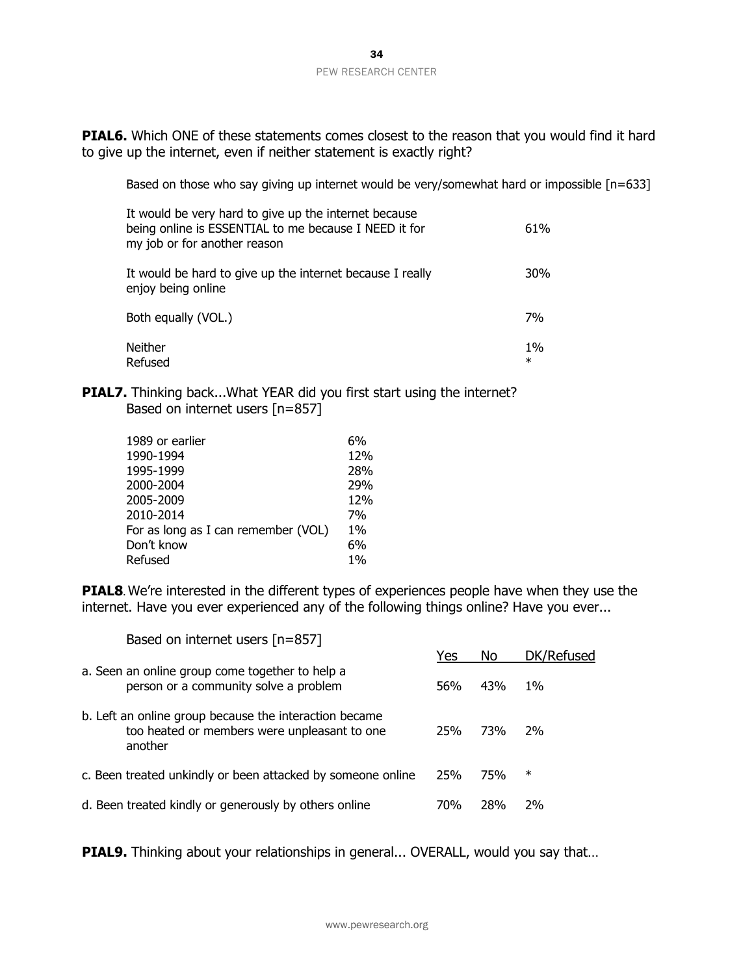**PIAL6.** Which ONE of these statements comes closest to the reason that you would find it hard to give up the internet, even if neither statement is exactly right?

Based on those who say giving up internet would be very/somewhat hard or impossible [n=633]

| It would be very hard to give up the internet because<br>being online is ESSENTIAL to me because I NEED it for<br>my job or for another reason | 61%             |
|------------------------------------------------------------------------------------------------------------------------------------------------|-----------------|
| It would be hard to give up the internet because I really<br>enjoy being online                                                                | 30%             |
| Both equally (VOL.)                                                                                                                            | <b>7%</b>       |
| <b>Neither</b><br>Refused                                                                                                                      | $1\%$<br>$\ast$ |

**PIAL7.** Thinking back...What YEAR did you first start using the internet? Based on internet users [n=857]

| 1989 or earlier                     | 6%    |
|-------------------------------------|-------|
| 1990-1994                           | 12%   |
| 1995-1999                           | 28%   |
| 2000-2004                           | 29%   |
| 2005-2009                           | 12%   |
| 2010-2014                           | 7%    |
| For as long as I can remember (VOL) | $1\%$ |
| Don't know                          | 6%    |
| Refused                             | $1\%$ |

**PIAL8**. We're interested in the different types of experiences people have when they use the internet. Have you ever experienced any of the following things online? Have you ever...

| Based on internet users $[n=857]$                                                                                 |     |            |            |
|-------------------------------------------------------------------------------------------------------------------|-----|------------|------------|
|                                                                                                                   | Yes | No.        | DK/Refused |
| a. Seen an online group come together to help a<br>person or a community solve a problem                          | 56% | 43%        | $1\%$      |
| b. Left an online group because the interaction became<br>too heated or members were unpleasant to one<br>another | 25% | <b>73%</b> | 2%         |
| c. Been treated unkindly or been attacked by someone online                                                       | 25% | 75%        | $\ast$     |
| d. Been treated kindly or generously by others online                                                             | 70% | 28%        | 2%         |

**PIAL9.** Thinking about your relationships in general... OVERALL, would you say that...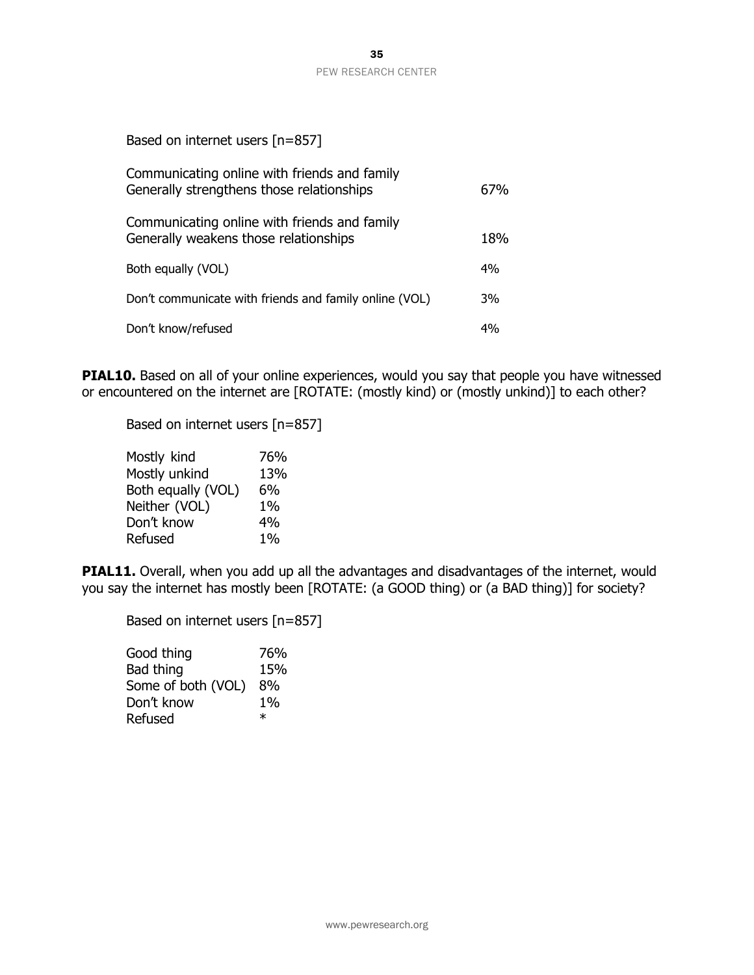| Based on internet users [n=857]                                                           |     |
|-------------------------------------------------------------------------------------------|-----|
| Communicating online with friends and family<br>Generally strengthens those relationships | 67% |
| Communicating online with friends and family<br>Generally weakens those relationships     | 18% |
| Both equally (VOL)                                                                        | 4%  |
| Don't communicate with friends and family online (VOL)                                    | 3%  |
| Don't know/refused                                                                        | 4%  |

**PIAL10.** Based on all of your online experiences, would you say that people you have witnessed or encountered on the internet are [ROTATE: (mostly kind) or (mostly unkind)] to each other?

Based on internet users [n=857]

| Mostly kind        | 76%   |
|--------------------|-------|
| Mostly unkind      | 13%   |
| Both equally (VOL) | 6%    |
| Neither (VOL)      | $1\%$ |
| Don't know         | $4\%$ |
| Refused            | 1%    |

**PIAL11.** Overall, when you add up all the advantages and disadvantages of the internet, would you say the internet has mostly been [ROTATE: (a GOOD thing) or (a BAD thing)] for society?

Based on internet users [n=857]

| Good thing         | 76%    |
|--------------------|--------|
| Bad thing          | 15%    |
| Some of both (VOL) | 8%     |
| Don't know         | $1\%$  |
| Refused            | $\ast$ |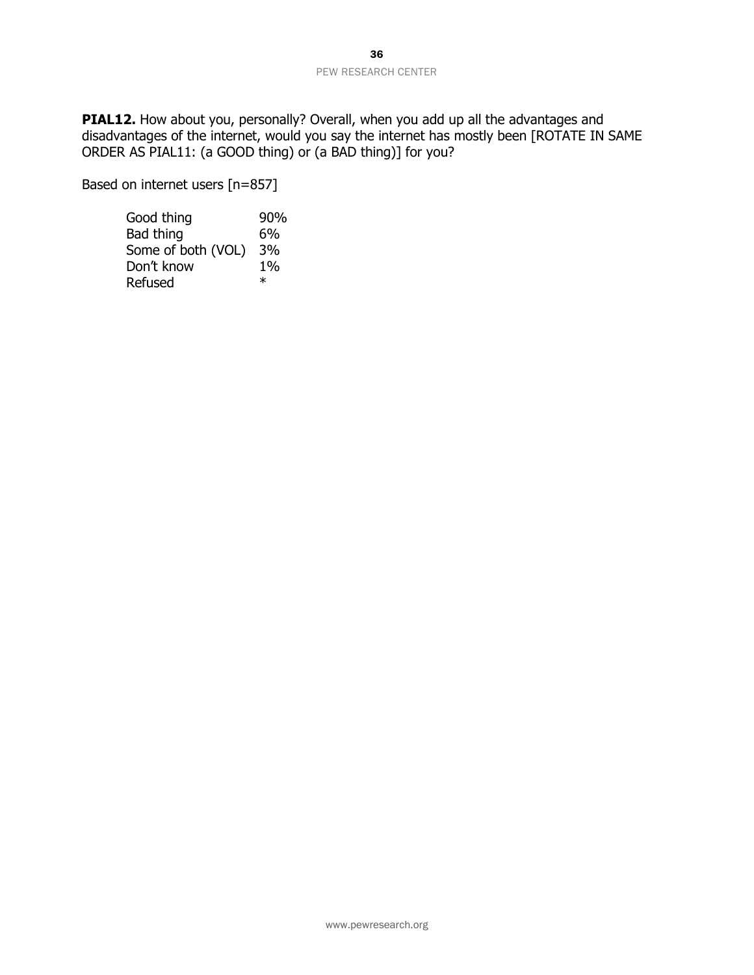**PIAL12.** How about you, personally? Overall, when you add up all the advantages and disadvantages of the internet, would you say the internet has mostly been [ROTATE IN SAME ORDER AS PIAL11: (a GOOD thing) or (a BAD thing)] for you?

Based on internet users [n=857]

| Good thing         | 90%    |
|--------------------|--------|
| Bad thing          | 6%     |
| Some of both (VOL) | 3%     |
| Don't know         | 1%     |
| Refused            | $\ast$ |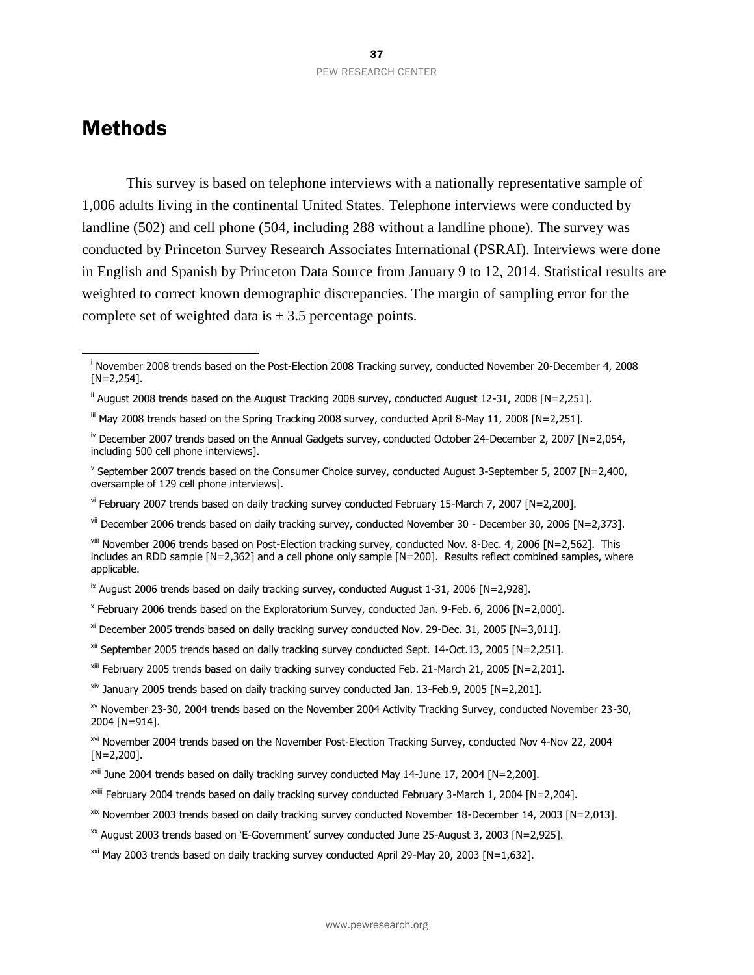# <span id="page-37-0"></span>Methods

 $\overline{a}$ 

This survey is based on telephone interviews with a nationally representative sample of 1,006 adults living in the continental United States. Telephone interviews were conducted by landline (502) and cell phone (504, including 288 without a landline phone). The survey was conducted by Princeton Survey Research Associates International (PSRAI). Interviews were done in English and Spanish by Princeton Data Source from January 9 to 12, 2014. Statistical results are weighted to correct known demographic discrepancies. The margin of sampling error for the complete set of weighted data is  $\pm$  3.5 percentage points.

- iii May 2008 trends based on the Spring Tracking 2008 survey, conducted April 8-May 11, 2008 [N=2,251].
- iv December 2007 trends based on the Annual Gadgets survey, conducted October 24-December 2, 2007 [N=2,054, including 500 cell phone interviews].
- v September 2007 trends based on the Consumer Choice survey, conducted August 3-September 5, 2007 [N=2,400, oversample of 129 cell phone interviews].
- vi February 2007 trends based on daily tracking survey conducted February 15-March 7, 2007 [N=2,200].
- vii December 2006 trends based on daily tracking survey, conducted November 30 December 30, 2006 [N=2,373].

viii November 2006 trends based on Post-Election tracking survey, conducted Nov. 8-Dec. 4, 2006 [N=2,562]. This includes an RDD sample [N=2,362] and a cell phone only sample [N=200]. Results reflect combined samples, where applicable.

- $\overline{X}$  August 2006 trends based on daily tracking survey, conducted August 1-31, 2006 [N=2,928].
- x February 2006 trends based on the Exploratorium Survey, conducted Jan. 9-Feb. 6, 2006 [N=2,000].
- $x$ <sup>i</sup> December 2005 trends based on daily tracking survey conducted Nov. 29-Dec. 31, 2005 [N=3,011].
- xii September 2005 trends based on daily tracking survey conducted Sept. 14-Oct.13, 2005 [N=2,251].
- xiii February 2005 trends based on daily tracking survey conducted Feb. 21-March 21, 2005 [N=2,201].
- $x^2$  January 2005 trends based on daily tracking survey conducted Jan. 13-Feb.9, 2005 [N=2,201].

- xvii June 2004 trends based on daily tracking survey conducted May 14-June 17, 2004 [N=2,200].
- xviii February 2004 trends based on daily tracking survey conducted February 3-March 1, 2004 [N=2,204].
- $x$ ix November 2003 trends based on daily tracking survey conducted November 18-December 14, 2003 [N=2,013].
- <sup>xx</sup> August 2003 trends based on 'E-Government' survey conducted June 25-August 3, 2003 [N=2.925].
- $\frac{xxi}{x}$  May 2003 trends based on daily tracking survey conducted April 29-May 20, 2003 [N=1,632].

<sup>&</sup>lt;sup>i</sup> November 2008 trends based on the Post-Election 2008 Tracking survey, conducted November 20-December 4, 2008 [N=2,254].

 $\text{ii}$  August 2008 trends based on the August Tracking 2008 survey, conducted August 12-31, 2008 [N=2,251].

xv November 23-30, 2004 trends based on the November 2004 Activity Tracking Survey, conducted November 23-30, 2004 [N=914].

xvi November 2004 trends based on the November Post-Election Tracking Survey, conducted Nov 4-Nov 22, 2004  $[N=2,200]$ .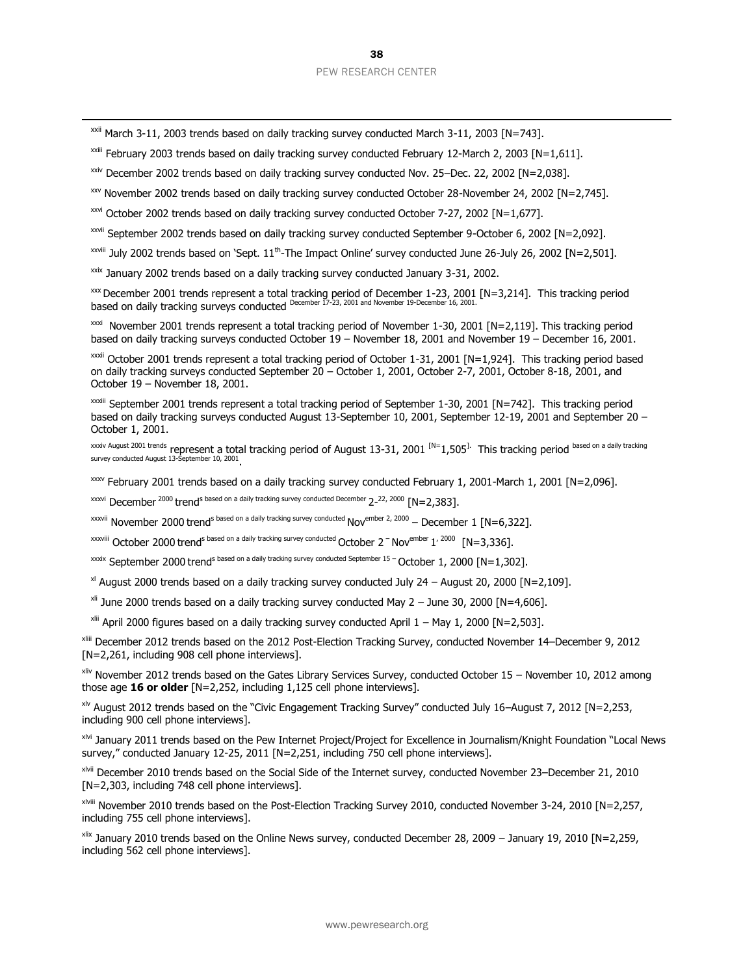$xxi$  March 3-11, 2003 trends based on daily tracking survey conducted March 3-11, 2003 [N=743].

 $\overline{a}$ 

<sup>xxiii</sup> February 2003 trends based on daily tracking survey conducted February 12-March 2, 2003 [N=1,611].

 $\frac{x}{x}$  December 2002 trends based on daily tracking survey conducted Nov. 25–Dec. 22, 2002 [N=2,038].

xxv November 2002 trends based on daily tracking survey conducted October 28-November 24, 2002 [N=2,745].

xxvi October 2002 trends based on daily tracking survey conducted October 7-27, 2002 [N=1,677].

xxvii September 2002 trends based on daily tracking survey conducted September 9-October 6, 2002 [N=2,092].

<sup>xxviii</sup> July 2002 trends based on `Sept. 11<sup>th</sup>-The Impact Online' survey conducted June 26-July 26, 2002 [N=2,501].

xxix January 2002 trends based on a daily tracking survey conducted January 3-31, 2002.

 $\frac{x}{x}$  December 2001 trends represent a total tracking period of December 1-23, 2001 [N=3,214]. This tracking period based on daily tracking surveys conducted December 17-23, 2001 and November 19-December 16, 2001.

xxxi November 2001 trends represent a total tracking period of November 1-30, 2001 [N=2,119]. This tracking period based on daily tracking surveys conducted October 19 – November 18, 2001 and November 19 – December 16, 2001.

xxxii October 2001 trends represent a total tracking period of October 1-31, 2001 [N=1,924]. This tracking period based on daily tracking surveys conducted September 20 – October 1, 2001, October 2-7, 2001, October 8-18, 2001, and October 19 – November 18, 2001.

xxxiii September 2001 trends represent a total tracking period of September 1-30, 2001 [N=742]. This tracking period based on daily tracking surveys conducted August 13-September 10, 2001, September 12-19, 2001 and September 20 – October 1, 2001.

xxxiv August 2001 trends represent a total tracking period of August 13-31, 2001 <sup>[N=</sup>1,505<sup>].</sup> This tracking period <sup>based on a daily tracking<br>survey conducted August 13-September 10, 2001</sup>

xxxv February 2001 trends based on a daily tracking survey conducted February 1, 2001-March 1, 2001 [N=2,096].

 $\frac{x}{x}$ <sup>2000</sup> trend<sup>s based on a daily tracking survey conducted December 2<sup>-22, 2000</sup> [N=2,383].</sup>

<sup>xxxvii</sup> November 2000 trend<sup>s based on a daily tracking survey conducted Nov<sup>ember 2, 2000</sup> – December 1 [N=6,322].</sup>

 $\frac{x}{x}$ <sup>xxxviii</sup> October 2000 trend<sup>s based on a daily tracking survey conducted October 2  $^-$  Nov<sup>ember</sup> 1<sup>, 2000</sup> [N=3,336].</sup>

xxxix September 2000 trend<sup>s based on a daily tracking survey conducted September 15 - October 1, 2000 [N=1,302].</sup>

 $x$ <sup>I</sup> August 2000 trends based on a daily tracking survey conducted July 24 – August 20, 2000 [N=2,109].

 $x$ <sup>ii</sup> June 2000 trends based on a daily tracking survey conducted May 2 – June 30, 2000 [N=4,606].

 $x$ lii April 2000 figures based on a daily tracking survey conducted April 1 – May 1, 2000 [N=2,503].

xliii December 2012 trends based on the 2012 Post-Election Tracking Survey, conducted November 14–December 9, 2012 [N=2,261, including 908 cell phone interviews].

xliv November 2012 trends based on the Gates Library Services Survey, conducted October 15 – November 10, 2012 among those age **16 or older** [N=2,252, including 1,125 cell phone interviews].

 $x^{1/2}$  August 2012 trends based on the "Civic Engagement Tracking Survey" conducted July 16–August 7, 2012 [N=2,253, including 900 cell phone interviews].

xlvi January 2011 trends based on the Pew Internet Project/Project for Excellence in Journalism/Knight Foundation "Local News survey," conducted January 12-25, 2011 [N=2,251, including 750 cell phone interviews].

xlvii December 2010 trends based on the Social Side of the Internet survey, conducted November 23–December 21, 2010 [N=2,303, including 748 cell phone interviews].

xlviii November 2010 trends based on the Post-Election Tracking Survey 2010, conducted November 3-24, 2010 [N=2,257, including 755 cell phone interviews].

xlix January 2010 trends based on the Online News survey, conducted December 28, 2009 – January 19, 2010 [N=2,259, including 562 cell phone interviews].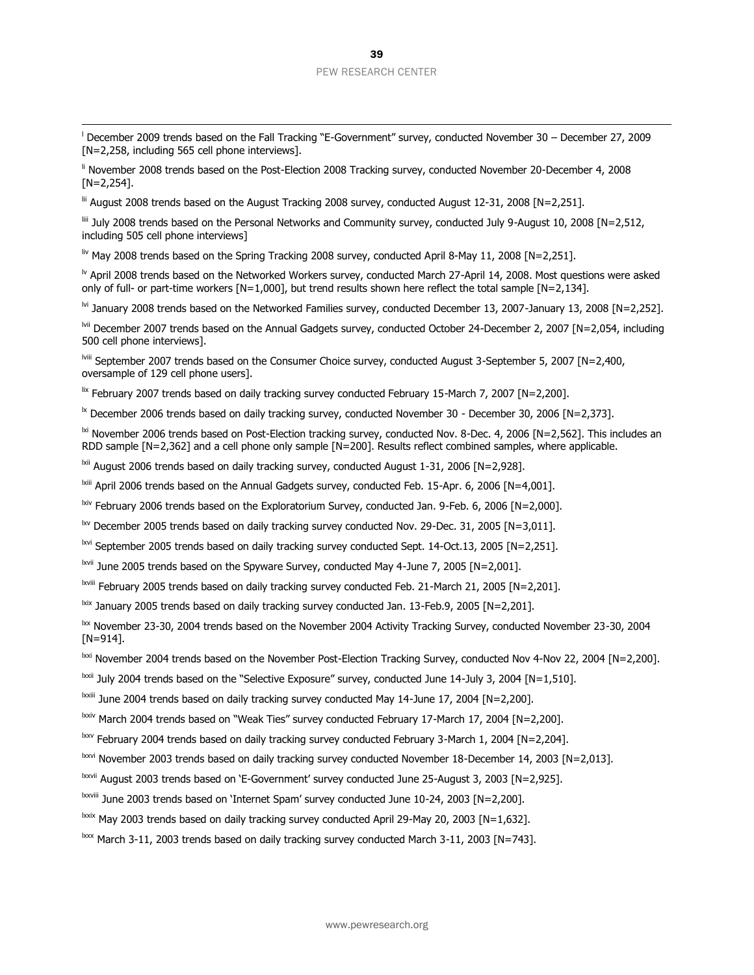<sup>l</sup> December 2009 trends based on the Fall Tracking "E-Government" survey, conducted November 30 – December 27, 2009 [N=2,258, including 565 cell phone interviews].

li November 2008 trends based on the Post-Election 2008 Tracking survey, conducted November 20-December 4, 2008 [N=2,254].

lii August 2008 trends based on the August Tracking 2008 survey, conducted August 12-31, 2008 [N=2,251].

 $\overline{a}$ 

liii July 2008 trends based on the Personal Networks and Community survey, conducted July 9-August 10, 2008 [N=2,512, including 505 cell phone interviews]

liv May 2008 trends based on the Spring Tracking 2008 survey, conducted April 8-May 11, 2008 [N=2,251].

<sup>lv</sup> April 2008 trends based on the Networked Workers survey, conducted March 27-April 14, 2008. Most questions were asked only of full- or part-time workers [N=1,000], but trend results shown here reflect the total sample [N=2,134].

 $\frac{1}{10}$  January 2008 trends based on the Networked Families survey, conducted December 13, 2007-January 13, 2008 [N=2,252].

lvii December 2007 trends based on the Annual Gadgets survey, conducted October 24-December 2, 2007 [N=2,054, including 500 cell phone interviews].

lviii September 2007 trends based on the Consumer Choice survey, conducted August 3-September 5, 2007 [N=2,400, oversample of 129 cell phone users].

 $\frac{1}{x}$  February 2007 trends based on daily tracking survey conducted February 15-March 7, 2007 [N=2,200].

 $\frac{1}{2}$  December 2006 trends based on daily tracking survey, conducted November 30 - December 30, 2006 [N=2,373].

<sup>1xi</sup> November 2006 trends based on Post-Election tracking survey, conducted Nov. 8-Dec. 4, 2006 [N=2,562]. This includes an RDD sample [N=2,362] and a cell phone only sample [N=200]. Results reflect combined samples, where applicable.

<sup>Ixii</sup> August 2006 trends based on daily tracking survey, conducted August 1-31, 2006  $[Ne-2,928]$ .

lxiii April 2006 trends based on the Annual Gadgets survey, conducted Feb. 15-Apr. 6, 2006 [N=4,001].

lxiv February 2006 trends based on the Exploratorium Survey, conducted Jan. 9-Feb. 6, 2006 [N=2,000].

lxv December 2005 trends based on daily tracking survey conducted Nov. 29-Dec. 31, 2005 [N=3,011].

lxvi September 2005 trends based on daily tracking survey conducted Sept. 14-Oct.13, 2005 [N=2,251].

lxvii June 2005 trends based on the Spyware Survey, conducted May 4-June 7, 2005 [N=2,001].

lxviii February 2005 trends based on daily tracking survey conducted Feb. 21-March 21, 2005 [N=2,201].

 $\frac{1}{x}$  January 2005 trends based on daily tracking survey conducted Jan. 13-Feb.9, 2005 [N=2,201].

lxx November 23-30, 2004 trends based on the November 2004 Activity Tracking Survey, conducted November 23-30, 2004  $[N=914]$ .

lxxi November 2004 trends based on the November Post-Election Tracking Survey, conducted Nov 4-Nov 22, 2004 [N=2,200].

 $\frac{1}{2}$  July 2004 trends based on the "Selective Exposure" survey, conducted June 14-July 3, 2004 [N=1,510].

lxxiii June 2004 trends based on daily tracking survey conducted May 14-June 17, 2004 [N=2,200].

lxxiv March 2004 trends based on "Weak Ties" survey conducted February 17-March 17, 2004 [N=2,200].

 $\frac{bxy}{c}$  February 2004 trends based on daily tracking survey conducted February 3-March 1, 2004 [N=2,204].

lxxvi November 2003 trends based on daily tracking survey conducted November 18-December 14, 2003 [N=2,013].

lxxvii August 2003 trends based on 'E-Government' survey conducted June 25-August 3, 2003 [N=2,925].

lxxviii June 2003 trends based on 'Internet Spam' survey conducted June 10-24, 2003 [N=2,200].

 $\frac{1}{2}$ <sup>lxxix</sup> May 2003 trends based on daily tracking survey conducted April 29-May 20, 2003 [N=1,632].

lxxx March 3-11, 2003 trends based on daily tracking survey conducted March 3-11, 2003 [N=743].